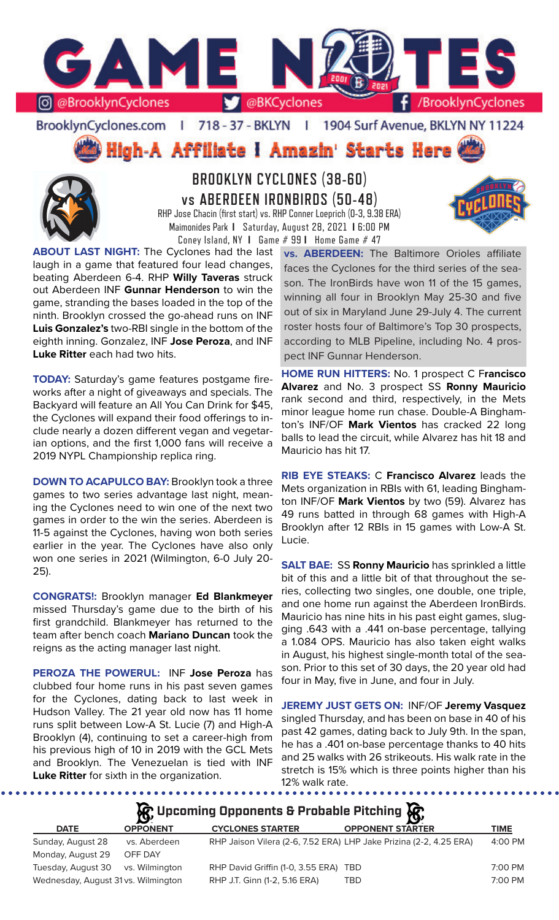

### BrooklynCyclones.com | 718 - 37 - BKLYN | 1904 Surf Avenue, BKLYN NY 11224

High-A Affiliate I Amazin' Starts Here



# **BROOKLYN CYCLONES (38-60) vs ABERDEEN IRONBIRDS (50-48)**

RHP Jose Chacin (first start) vs. RHP Conner Loeprich (0-3, 9.38 ERA) Maimonides Park **I** Saturday, August 28, 2021 **I** 6:00 PM Coney Island, NY **I** Game # 99 **I** Home Game # 47

**ABOUT LAST NIGHT:** The Cyclones had the last laugh in a game that featured four lead changes, beating Aberdeen 6-4. RHP **Willy Taveras** struck out Aberdeen INF **Gunnar Henderson** to win the game, stranding the bases loaded in the top of the ninth. Brooklyn crossed the go-ahead runs on INF **Luis Gonzalez's** two-RBI single in the bottom of the eighth inning. Gonzalez, INF **Jose Peroza**, and INF **Luke Ritter** each had two hits.

**TODAY:** Saturday's game features postgame fireworks after a night of giveaways and specials. The Backyard will feature an All You Can Drink for \$45, the Cyclones will expand their food offerings to include nearly a dozen different vegan and vegetarian options, and the first 1,000 fans will receive a 2019 NYPL Championship replica ring.

**DOWN TO ACAPULCO BAY:** Brooklyn took a three games to two series advantage last night, meaning the Cyclones need to win one of the next two games in order to the win the series. Aberdeen is 11-5 against the Cyclones, having won both series earlier in the year. The Cyclones have also only won one series in 2021 (Wilmington, 6-0 July 20- 25).

**CONGRATS!:** Brooklyn manager **Ed Blankmeyer** missed Thursday's game due to the birth of his first grandchild. Blankmeyer has returned to the team after bench coach **Mariano Duncan** took the reigns as the acting manager last night.

**PEROZA THE POWERUL:** INF **Jose Peroza** has clubbed four home runs in his past seven games for the Cyclones, dating back to last week in Hudson Valley. The 21 year old now has 11 home runs split between Low-A St. Lucie (7) and High-A Brooklyn (4), continuing to set a career-high from his previous high of 10 in 2019 with the GCL Mets and Brooklyn. The Venezuelan is tied with INF **Luke Ritter** for sixth in the organization.

**vs. ABERDEEN:** The Baltimore Orioles affiliate faces the Cyclones for the third series of the season. The IronBirds have won 11 of the 15 games, winning all four in Brooklyn May 25-30 and five out of six in Maryland June 29-July 4. The current roster hosts four of Baltimore's Top 30 prospects, according to MLB Pipeline, including No. 4 prospect INF Gunnar Henderson.

**HOME RUN HITTERS:** No. 1 prospect C F**rancisco Alvarez** and No. 3 prospect SS **Ronny Mauricio**  rank second and third, respectively, in the Mets minor league home run chase. Double-A Binghamton's INF/OF **Mark Vientos** has cracked 22 long balls to lead the circuit, while Alvarez has hit 18 and Mauricio has hit 17.

**RIB EYE STEAKS:** C **Francisco Alvarez** leads the Mets organization in RBIs with 61, leading Binghamton INF/OF **Mark Vientos** by two (59). Alvarez has 49 runs batted in through 68 games with High-A Brooklyn after 12 RBIs in 15 games with Low-A St. Lucie.

**SALT BAE:** SS **Ronny Mauricio** has sprinkled a little bit of this and a little bit of that throughout the series, collecting two singles, one double, one triple, and one home run against the Aberdeen IronBirds. Mauricio has nine hits in his past eight games, slugging .643 with a .441 on-base percentage, tallying a 1.084 OPS. Mauricio has also taken eight walks in August, his highest single-month total of the season. Prior to this set of 30 days, the 20 year old had four in May, five in June, and four in July.

**JEREMY JUST GETS ON:** INF/OF **Jeremy Vasquez**  singled Thursday, and has been on base in 40 of his past 42 games, dating back to July 9th. In the span, he has a .401 on-base percentage thanks to 40 hits and 25 walks with 26 strikeouts. His walk rate in the stretch is 15% which is three points higher than his 12% walk rate.

**Upcoming Opponents & Probable Pitching**

|                                     | $\mathbf{D}^{\prime}$ |                                                                    | - <b>ISA</b>            |             |
|-------------------------------------|-----------------------|--------------------------------------------------------------------|-------------------------|-------------|
| <b>DATE</b>                         | <b>OPPONENT</b>       | <b>CYCLONES STARTER</b>                                            | <b>OPPONENT STARTER</b> | <b>TIME</b> |
| Sunday, August 28                   | vs. Aberdeen          | RHP Jaison Vilera (2-6, 7.52 ERA) LHP Jake Prizina (2-2, 4.25 ERA) |                         | 4:00 PM     |
| Monday, August 29                   | OFF DAY               |                                                                    |                         |             |
| Tuesday, August 30 vs. Wilmington   |                       | RHP David Griffin (1-0, 3.55 ERA) TBD                              |                         | 7:00 PM     |
| Wednesday, August 31 vs. Wilmington |                       | RHP J.T. Ginn (1-2, 5.16 ERA)                                      | TBD                     | 7:00 PM     |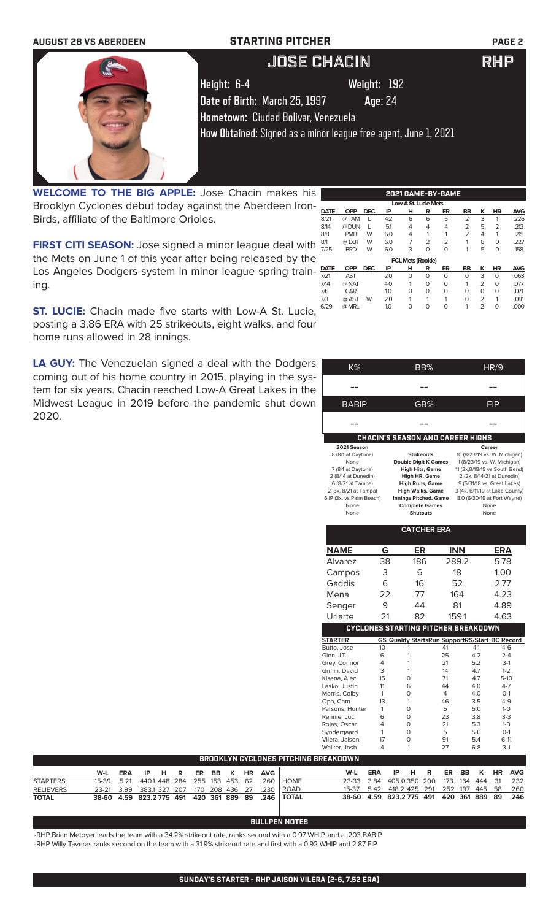| <b>AUGUST 28 VS ABERDEEN</b> | <b>STARTING PITCHER</b>                                         | <b>PAGE 2</b> |
|------------------------------|-----------------------------------------------------------------|---------------|
|                              | <b>JOSE CHACIN</b>                                              | <b>RHP</b>    |
|                              | Height: 6-4<br>Weight: 192                                      |               |
|                              | Date of Birth: March 25, 1997<br>Age: 24                        |               |
|                              | Hometown: Ciudad Bolivar, Venezuela                             |               |
|                              | How Obtained: Signed as a minor league free agent, June 1, 2021 |               |
|                              |                                                                 |               |
|                              |                                                                 |               |

**WELCOME TO THE BIG APPLE:** Jose Chacin makes his Brooklyn Cyclones debut today against the Aberdeen Iron-Birds, affiliate of the Baltimore Orioles. Low-A St. Lucie Mets<br>
DATE OPP DEC IP H R ER

**FIRST CITI SEASON:** Jose signed a minor league deal with  $\frac{87}{7/25}$ the Mets on June 1 of this year after being released by the Los Angeles Dodgers system in minor league spring training.

**ST. LUCIE:** Chacin made five starts with Low-A St. Lucie, 629 posting a 3.86 ERA with 25 strikeouts, eight walks, and four home runs allowed in 28 innings.

**LA GUY:** The Venezuelan signed a deal with the Dodgers coming out of his home country in 2015, playing in the system for six years. Chacin reached Low-A Great Lakes in the Midwest League in 2019 before the pandemic shut down 2020.

| a deal with the Dodgers                     |                      |                                                   |         |                                                |                                                         |          |            |                              |             |                                |
|---------------------------------------------|----------------------|---------------------------------------------------|---------|------------------------------------------------|---------------------------------------------------------|----------|------------|------------------------------|-------------|--------------------------------|
|                                             |                      | K%                                                |         |                                                | BB%                                                     |          |            |                              | <b>HR/9</b> |                                |
| 2015, playing in the sys-                   |                      |                                                   |         |                                                |                                                         |          |            |                              |             |                                |
| _ow-A Great Lakes in the                    |                      |                                                   |         |                                                |                                                         |          |            |                              |             |                                |
| he pandemic shut down                       |                      | BABIP                                             |         |                                                | GB%                                                     |          |            |                              | FIP         |                                |
|                                             |                      |                                                   |         |                                                |                                                         |          |            |                              |             |                                |
|                                             |                      |                                                   |         |                                                |                                                         |          |            |                              |             |                                |
|                                             |                      |                                                   |         |                                                |                                                         |          |            |                              |             |                                |
|                                             |                      |                                                   |         | <b>CHACIN'S SEASON AND CAREER HIGHS</b>        |                                                         |          |            |                              |             |                                |
|                                             |                      | 2021 Season                                       |         |                                                |                                                         |          |            | Career                       |             |                                |
|                                             |                      | 8 (8/1 at Daytona)                                |         |                                                | <b>Strikeouts</b>                                       |          |            | 10 (8/23/19 vs. W. Michigan) |             |                                |
|                                             |                      | None<br>7 (8/1 at Daytona)                        |         |                                                | <b>Double Digit K Games</b><br><b>High Hits, Game</b>   |          |            | 1 (8/23/19 vs. W. Michigan)  |             | 11 (2x,8/18/19 vs South Bend)  |
|                                             |                      | 2 (8/14 at Dunedin)                               |         |                                                | High HR, Game                                           |          |            | 2 (2x, 8/14/21 at Dunedin)   |             |                                |
|                                             |                      | 6 (8/21 at Tampa)                                 |         |                                                | <b>High Runs, Game</b>                                  |          |            | 9 (5/31/18 vs. Great Lakes)  |             |                                |
|                                             |                      | 2 (3x, 8/21 at Tampa)<br>6 IP (3x, vs Palm Beach) |         |                                                | <b>High Walks, Game</b><br><b>Innings Pitched, Game</b> |          |            | 8.0 (6/30/19 at Fort Wayne)  |             | 3 (4x, 6/11/19 at Lake County) |
|                                             |                      | None                                              |         |                                                | <b>Complete Games</b>                                   |          |            | None                         |             |                                |
|                                             |                      | None                                              |         |                                                | <b>Shutouts</b>                                         |          |            | None                         |             |                                |
|                                             |                      |                                                   |         |                                                | <b>CATCHER ERA</b>                                      |          |            |                              |             |                                |
|                                             |                      |                                                   |         |                                                |                                                         |          |            |                              |             |                                |
|                                             |                      | <b>NAME</b>                                       | G       |                                                | ER                                                      |          | <b>INN</b> |                              | <b>ERA</b>  |                                |
|                                             |                      | Alvarez                                           | 38      |                                                | 186                                                     |          | 289.2      |                              | 5.78        |                                |
|                                             |                      | Campos                                            | 3       |                                                | 6                                                       |          | 18         |                              | 1.00        |                                |
|                                             |                      | Gaddis                                            | 6       |                                                | 16                                                      |          | 52         |                              | 2.77        |                                |
|                                             |                      |                                                   |         |                                                |                                                         |          |            |                              |             |                                |
|                                             |                      | Mena                                              | 22      |                                                | 77                                                      |          | 164        |                              | 4.23        |                                |
|                                             |                      | Senger                                            | 9       |                                                | 44                                                      |          | 81         |                              | 4.89        |                                |
|                                             |                      | Uriarte                                           | 21      |                                                | 82                                                      |          | 159.1      |                              | 4.63        |                                |
|                                             |                      |                                                   |         | <b>CYCLONES STARTING PITCHER BREAKDOWN</b>     |                                                         |          |            |                              |             |                                |
|                                             |                      | <b>STARTER</b>                                    |         | GS Quality StartsRun SupportRS/Start BC Record |                                                         |          |            |                              |             |                                |
|                                             |                      | Butto, Jose                                       | 10      | 1                                              |                                                         | 41       |            | 4.1                          |             | $4-6$                          |
|                                             |                      | Ginn, J.T.<br>Grey, Connor                        | 6<br>4  | 1<br>1                                         |                                                         | 25<br>21 |            | 4.2<br>5.2                   |             | $2 - 4$<br>$3-1$               |
|                                             |                      | Griffin, David                                    | 3       | 1                                              |                                                         | 14       |            | 4.7                          |             | $1 - 2$                        |
|                                             |                      | Kisena, Alec                                      | 15      | $\mathbf 0$                                    |                                                         | 71       |            | 4.7                          |             | $5-10$                         |
|                                             |                      | Lasko, Justin                                     | 11      | 6                                              |                                                         | 44       |            | 4.0                          |             | $4 - 7$                        |
|                                             |                      | Morris, Colby                                     | 1       | $\mathbf 0$                                    |                                                         | 4        |            | 4.0                          |             | $0-1$                          |
|                                             |                      | Opp, Cam<br>Parsons, Hunter                       | 13<br>1 | 1<br>$\mathbf 0$                               |                                                         | 46<br>5  |            | 3.5<br>5.0                   |             | $4 - 9$<br>$1 - 0$             |
|                                             |                      | Rennie, Luc                                       | 6       | $\mathbf 0$                                    |                                                         | 23       |            | 3.8                          |             | $3-3$                          |
|                                             |                      | Rojas, Oscar                                      | 4       | $\mathbf 0$                                    |                                                         | 21       |            | 5.3                          |             | $1 - 3$                        |
|                                             |                      | Syndergaard                                       | 1       | $\Omega$                                       |                                                         | 5        |            | 5.0                          |             | $0-1$                          |
|                                             |                      | Vilera, Jaison<br>Walker, Josh                    | 17<br>4 | 0<br>1                                         |                                                         | 91<br>27 |            | 5.4<br>6.8                   |             | $6-11$<br>$3-1$                |
| <b>BROOKLYN CYCLONES PITCHING BREAKDOWN</b> |                      |                                                   |         |                                                |                                                         |          |            |                              |             |                                |
| :R<br>BB<br>ĸ<br>HR                         | <b>AVG</b>           | W-L                                               | ERA     | IP<br>н                                        | R                                                       | ER       | BВ         | κ                            | HR          | <b>AVG</b>                     |
| 453<br>55<br>153<br>62                      | .260<br><b>HOME</b>  | 23-33                                             | 3.84    | 405.0350                                       | 200                                                     | 173      | 164        | 444                          | 31          | .232                           |
| 436<br>27<br>70<br>208                      | <b>ROAD</b><br>.230  | 15-37                                             | 5.42    | 418.2 425                                      | 291                                                     | 252      | 197        | 445                          | 58          | .260                           |
| 89<br>20<br>361<br>889                      | .246<br><b>TOTAL</b> | 38-60                                             | 4.59    | 823.2775                                       | 491                                                     | 420      | 361        | 889                          | 89          | .246                           |

**2021 GAME-BY-GAME**

**DATE OPP DEC IP H R ER BB K HR AVG** 8/21 @ TAM L 4.2 6 6 5 2 3 1 .226 8/14 @ DUN L 5.1 4 4 4 2 5 2 .212 8/8 PMB W 6.0 4 1 1 2 4 1 .215 8/1 @ DBT W 6.0 7 2 2 1 8 0 .227 7/25 BRD W 6.0 3 0 0 1 5 0 .158

**DATE OPP DEC IP H R ER BB K HR AVG** 7/21 AST 2.0 0 0 0 0 3 0 .063 7/14 @ NAT 4.0 1 0 0 1 2 0 .077 7/6 CAR 1.0 0 0 0 0 0 0 .071 7/3 @ AST W 2.0 1 1 1 0 2 1 .091 6/29 @ MRL 1.0 0 0 0 1 2 0 .000

 **FCL Mets (Rookie)** 

## **BULLPEN NOTES**

-RHP Brian Metoyer leads the team with a 34.2% strikeout rate, ranks second with a 0.97 WHIP, and a .203 BABIP. -RHP Willy Taveras ranks second on the team with a 31.9% strikeout rate and first with a 0.92 WHIP and 2.87 FIP.

**W-L ERA IP H R ER BB K HR AVG**

STARTERS 15-39 5.21 440.1 448 284 255 153 453 62 .260 RELIEVERS 23-21 3.99 383.1 327 207 170 208 436 27 .230<br>**TOTAL 38-60 4.59 823.2 775 491 420 361 889 89 .246 TOTAL 38-60 4.59 823.2 775 491 420 361 889 89 .246**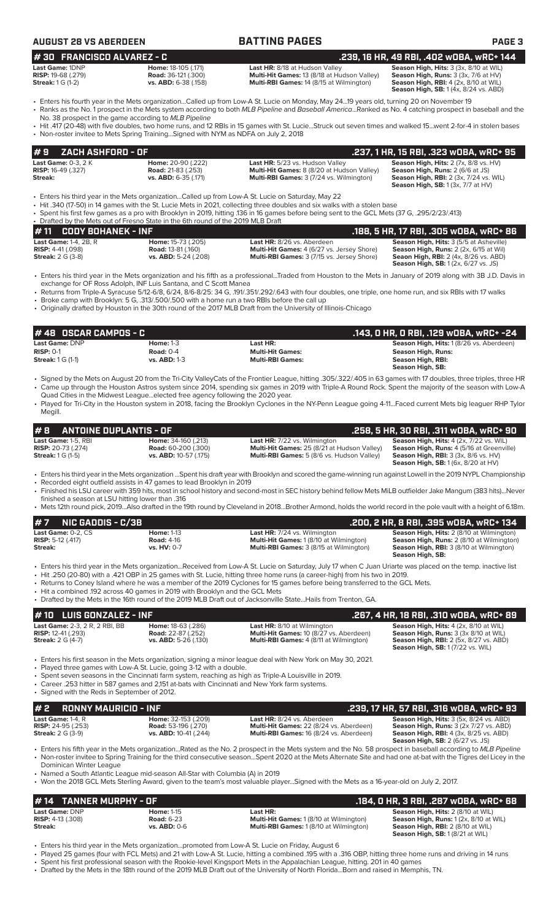| AUGUST 28 VS ABERDEEN |  |  |  |  |  |  |  |  |  |  |  |  |  |  |  |  |  |  |
|-----------------------|--|--|--|--|--|--|--|--|--|--|--|--|--|--|--|--|--|--|
|-----------------------|--|--|--|--|--|--|--|--|--|--|--|--|--|--|--|--|--|--|

| AUGUST 28 VS ABERDEEN                                                                                                                        |                                                                           | <b>BATTING PAGES</b>                                                                                                                                                                                                                                                                                                                                                                                                                                               | <b>PAGE 3</b>                                                                                                                                                                    |
|----------------------------------------------------------------------------------------------------------------------------------------------|---------------------------------------------------------------------------|--------------------------------------------------------------------------------------------------------------------------------------------------------------------------------------------------------------------------------------------------------------------------------------------------------------------------------------------------------------------------------------------------------------------------------------------------------------------|----------------------------------------------------------------------------------------------------------------------------------------------------------------------------------|
| #30 FRANCISCO ALVAREZ - C                                                                                                                    |                                                                           |                                                                                                                                                                                                                                                                                                                                                                                                                                                                    | .239, 16 HR, 49 RBI, .402 wOBA, wRC+ 144                                                                                                                                         |
| Last Game: 1DNP<br><b>RISP:</b> 19-68 (.279)<br><b>Streak:</b> 1 G (1-2)                                                                     | Home: 18-105 (.171)<br><b>Road: 36-121 (.300)</b><br>vs. ABD: 6-38 (.158) | Last HR: 8/18 at Hudson Valley<br>Multi-Hit Games: 13 (8/18 at Hudson Valley)<br>Multi-RBI Games: 14 (8/15 at Wilmington)                                                                                                                                                                                                                                                                                                                                          | Season High, Hits: 3 (3x, 8/10 at WIL)<br>Season High, Runs: 3 (3x, 7/6 at HV)<br>Season High, RBI: 4 (2x, 8/10 at WIL)<br><b>Season High, SB: 1 (4x, 8/24 vs. ABD)</b>          |
| No. 38 prospect in the game according to MLB Pipeline<br>• Non-roster invitee to Mets Spring TrainingSigned with NYM as NDFA on July 2, 2018 |                                                                           | Fiters his fourth year in the Mets organizationCalled up from Low-A St. Lucie on Monday, May 2419 years old, turning 20 on November 19<br>• Ranks as the No. 1 prospect in the Mets system according to both MLB Pipeline and Baseball AmericaRanked as No. 4 catching prospect in baseball and the<br>• Hit .417 (20-48) with five doubles, two home runs, and 12 RBIs in 15 games with St. LucieStruck out seven times and walked 15went 2-for-4 in stolen bases |                                                                                                                                                                                  |
| ZACH ASHFORD - OF<br>#9                                                                                                                      |                                                                           |                                                                                                                                                                                                                                                                                                                                                                                                                                                                    | .237, 1 HR, 15 RBI, .323 wOBA, wRC+ 95                                                                                                                                           |
| Last Game: 0-3, 2 K<br><b>RISP:</b> 16-49 (.327)<br>Streak:                                                                                  | Home: 20-90 (.222)<br><b>Road: 21-83 (.253)</b><br>vs. ABD: 6-35 (.171)   | Last HR: 5/23 vs. Hudson Valley<br>Multi-Hit Games: 8 (8/20 at Hudson Valley)<br>Multi-RBI Games: 3 (7/24 vs. Wilmington)                                                                                                                                                                                                                                                                                                                                          | Season High, Hits: 2 (7x, 8/8 vs. HV)<br>Season High, Runs: 2 (6/6 at JS)<br>Season High, RBI: 2 (3x, 7/24 vs. WIL)<br><b>Season High, SB: 1 (3x, 7/7 at HV)</b>                 |
| • Drafted by the Mets out of Fresno State in the 6th round of the 2019 MLB Draft                                                             |                                                                           | Enters his third year in the Mets organizationCalled up from Low-A St. Lucie on Saturday, May 22<br>• Hit .340 (17-50) in 14 games with the St. Lucie Mets in 2021, collecting three doubles and six walks with a stolen base<br>• Spent his first few games as a pro with Brooklyn in 2019, hitting .136 in 16 games before being sent to the GCL Mets (37 G, .295/2/23/.413)                                                                                     |                                                                                                                                                                                  |
| <b>CODY BOHANEK - INF</b><br>#11                                                                                                             |                                                                           |                                                                                                                                                                                                                                                                                                                                                                                                                                                                    | .188, 5 HR, 17 RBI, .305 wOBA, wRC+ 86                                                                                                                                           |
| Last Game: 1-4, 2B, R<br><b>RISP:</b> 4-41 (.098)<br><b>Streak: 2 G (3-8)</b>                                                                | Home: 15-73 (.205)<br><b>Road: 13-81 (.160)</b><br>vs. ABD: 5-24 (.208)   | Last HR: 8/26 vs. Aberdeen<br>Multi-Hit Games: 4 (6/27 vs. Jersey Shore)<br>Multi-RBI Games: 3 (7/15 vs. Jersey Shore)                                                                                                                                                                                                                                                                                                                                             | Season High, Hits: 3 (5/5 at Asheville)<br>Season High, Runs: 2 (2x, 6/15 at Wil)<br><b>Seaon High, RBI:</b> 2 (4x, 8/26 vs. ABD)<br><b>Season High, SB:</b> 1 (2x, 6/27 vs. JS) |
|                                                                                                                                              |                                                                           | . Enterg his third year in the Mots erganization and his fifth as a professional Traded from Houston to the Mots in January of 2019 along with 3R JD Davis in                                                                                                                                                                                                                                                                                                      |                                                                                                                                                                                  |

- Enters his third year in the Mets organization and his fifth as a professional...Traded from Houston to the Mets in January of 2019 along with 3B J.D. Davis in exchange for OF Ross Adolph, INF Luis Santana, and C Scott Manea
- Returns from Triple-A Syracuse 5/12-6/8, 6/24, 8/6-8/25: 34 G, .191/.351/.292/.643 with four doubles, one triple, one home run, and six RBIs with 17 walks • Broke camp with Brooklyn: 5 G, .313/.500/.500 with a home run a two RBIs before the call up
- Originally drafted by Houston in the 30th round of the 2017 MLB Draft from the University of Illinois-Chicago

| <b>I # 48   OSCAR CAMPOS - C</b> . |                     |                         | .143, O HR, O RBI, .129 wOBA, wRC+ -24  |
|------------------------------------|---------------------|-------------------------|-----------------------------------------|
| Last Game: DNP                     | Home: $1-3$         | Last HR:                | Season High, Hits: 1(8/26 vs. Aberdeen) |
| $RISP: 0-1$                        | Road: $0-4$         | <b>Multi-Hit Games:</b> | Season High, Runs:                      |
| <b>Streak:</b> 1 G (1-1)           | <b>vs. ABD: 1-3</b> | <b>Multi-RBI Games:</b> | Season High, RBI:                       |
|                                    |                     |                         | Season High, SB:                        |

- Signed by the Mets on August 20 from the Tri-City ValleyCats of the Frontier League, hitting .305/.322/.405 in 63 games with 17 doubles, three triples, three HR • Came up through the Houston Astros system since 2014, spending six games in 2019 with Triple-A Round Rock. Spent the majority of the season with Low-A Quad Cities in the Midwest League...elected free agency following the 2020 year.
- Played for Tri-City in the Houston system in 2018, facing the Brooklyn Cyclones in the NY-Penn League going 4-11...Faced current Mets big leaguer RHP Tylor Megill.

|                                     | $\#$ 8 ANTOINE DUPLANTIS - OF |                              |                                                   | .258, 5 HR, 30 RBI, .311 wOBA, wRC+ 90                 |
|-------------------------------------|-------------------------------|------------------------------|---------------------------------------------------|--------------------------------------------------------|
|                                     | <b>Last Game:</b> 1-5, RBI    | <b>Home:</b> 34-160 (.213)   | <b>Last HR:</b> 7/22 vs. Wilmington               | <b>Season High, Hits: 4 (2x, 7/22 vs. WIL)</b>         |
|                                     | <b>RISP:</b> 20-73 (.274)     | <b>Road:</b> 60-200 (.300)   | Multi-Hit Games: 25 (8/21 at Hudson Valley)       | <b>Season High, Runs:</b> 4 (5/16 at Greenville)       |
| <b>Streak:</b> $1 \text{ G } (1-5)$ |                               | <b>vs. ABD:</b> 10-57 (.175) | <b>Multi-RBI Games:</b> 5 (8/6 vs. Hudson Valley) | <b>Season High, RBI:</b> $3$ ( $3x$ , $8/6$ vs. $HV$ ) |
|                                     |                               |                              |                                                   | <b>Season High, SB:</b> 1 (6x, 8/20 at HV)             |

- Enters his third year in the Mets organization ...Spent his draft year with Brooklyn and scored the game-winning run against Lowell in the 2019 NYPL Championship
- Recorded eight outfield assists in 47 games to lead Brooklyn in 2019
- Finished his LSU career with 359 hits, most in school history and second-most in SEC history behind fellow Mets MiLB outfielder Jake Mangum (383 hits)...Never finished a season at LSU hitting lower than .316
- Mets 12th round pick, 2019...Also drafted in the 19th round by Cleveland in 2018...Brother Armond, holds the world record in the pole vault with a height of 6.18m.

| $#7$ NIC GADDIS - C/3B                                                                                                                                       |                   |                                                | .200, 2 HR, 8 RBI, .395 wOBA, wRC+ 134                              |  |  |  |  |
|--------------------------------------------------------------------------------------------------------------------------------------------------------------|-------------------|------------------------------------------------|---------------------------------------------------------------------|--|--|--|--|
| <b>Last Game:</b> 0-2. CS                                                                                                                                    | <b>Home: 1-13</b> | <b>Last HR:</b> 7/24 vs. Wilmington            | <b>Season High, Hits: 2 (8/10 at Wilmington)</b>                    |  |  |  |  |
| <b>RISP:</b> 5-12 $(.417)$                                                                                                                                   | <b>Road: 4-16</b> | <b>Multi-Hit Games: 1 (8/10 at Wilmington)</b> | <b>Season High, Runs:</b> 2 (8/10 at Wilmington)                    |  |  |  |  |
| Streak:                                                                                                                                                      | vs. HV: 0-7       | <b>Multi-RBI Games: 3 (8/15 at Wilmington)</b> | <b>Season High, RBI:</b> 3 (8/10 at Wilmington)<br>Season High, SB: |  |  |  |  |
| • Enters his third year in the Mets organizationReceived from Low-A St. Lucie on Saturday, July 17 when C Juan Uriarte was placed on the temp. inactive list |                   |                                                |                                                                     |  |  |  |  |

- Hit .250 (20-80) with a .421 OBP in 25 games with St. Lucie, hitting three home runs (a career-high) from his two in 2019.
- Returns to Coney Island where he was a member of the 2019 Cyclones for 15 games before being transferred to the GCL Mets.
- Hit a combined .192 across 40 games in 2019 with Brooklyn and the GCL Mets

| . Drafted by the Mets in the 16th round of the 2019 MLB Draft out of Jacksonville State Hails from Trenton, GA. |                                                                                |                                                                                                                                 |                                                                                                                                                                                     |  |  |  |  |
|-----------------------------------------------------------------------------------------------------------------|--------------------------------------------------------------------------------|---------------------------------------------------------------------------------------------------------------------------------|-------------------------------------------------------------------------------------------------------------------------------------------------------------------------------------|--|--|--|--|
| $#10$ LUIS GONZALEZ - INF                                                                                       |                                                                                |                                                                                                                                 | .267, 4 HR, 18 RBI, .310 wOBA, wRC+ 89                                                                                                                                              |  |  |  |  |
| <b>Last Game: 2-3, 2 R, 2 RBI, BB</b><br><b>RISP:</b> 12-41 (.293)<br><b>Streak:</b> 2 G (4-7)                  | <b>Home: 18-63 (.286)</b><br><b>Road: 22-87 (.252)</b><br>vs. ABD: 5-26 (.130) | <b>Last HR:</b> 8/10 at Wilmington<br>Multi-Hit Games: 10 (8/27 vs. Aberdeen)<br><b>Multi-RBI Games: 4 (8/11 at Wilmington)</b> | <b>Season High, Hits: 4 (2x, 8/10 at WIL)</b><br><b>Season High, Runs:</b> 3 (3x 8/10 at WIL)<br><b>Season High, RBI:</b> 2 (5x, 8/27 vs. ABD)<br>Season High, SB: 1 (7/22 vs. WIL) |  |  |  |  |
|                                                                                                                 |                                                                                | • Enters his first season in the Mets organization, signing a minor league deal with New York on May 30, 2021.                  |                                                                                                                                                                                     |  |  |  |  |

- 
- Played three games with Low-A St. Lucie, going 3-12 with a double.
- Spent seven seasons in the Cincinnati farm system, reaching as high as Triple-A Louisville in 2019. • Career .253 hitter in 587 games and 2,151 at-bats with Cincinnati and New York farm systems.
- Signed with the Reds in September of 2012.

| # 2 RONNY MAURICIO - INF        |                              |                                                | .239, 17 HR, 57 RBI, .316 wOBA, wRC+ 93        |
|---------------------------------|------------------------------|------------------------------------------------|------------------------------------------------|
| <b>Last Game:</b> 1-4. $R$      | <b>Home:</b> 32-153 (.209)   | Last HR: 8/24 vs. Aberdeen                     | <b>Season High, Hits: 3 (5x, 8/24 vs. ABD)</b> |
| <b>RISP:</b> $24-95$ ( $.253$ ) | <b>Road:</b> 53-196 (.270)   | <b>Multi-Hit Games: 22 (8/24 vs. Aberdeen)</b> | <b>Season High, Runs: 3 (2x 7/27 vs. ABD)</b>  |
| <b>Streak:</b> 2 G (3-9)        | <b>vs. ABD:</b> 10-41 (.244) | <b>Multi-RBI Games: 16 (8/24 vs. Aberdeen)</b> | <b>Season High, RBI:</b> 4 (3x, 8/25 vs. ABD)  |
|                                 |                              |                                                | <b>Season High, SB: 2 (6/27 vs. JS)</b>        |

• Enters his fifth year in the Mets organization...Rated as the No. 2 prospect in the Mets system and the No. 58 prospect in baseball according to *MLB Pipeline* • Non-roster invitee to Spring Training for the third consecutive season...Spent 2020 at the Mets Alternate Site and had one at-bat with the Tigres del Licey in the Dominican Winter League

• Named a South Atlantic League mid-season All-Star with Columbia (A) in 2019

• Won the 2018 GCL Mets Sterling Award, given to the team's most valuable player...Signed with the Mets as a 16-year-old on July 2, 2017.

## **Last Game:** DNP **Home:** 1-15 **Last HR: Season High, Hits:** 2 (8/10 at WIL) **RISP:** 4-13 (.308) **Road:** 6-23 **Multi-Hit Games:** 1 (8/10 at Wilmington) **Season High, Runs:** 1 (2x, 8/10 at WIL) **# 14 TANNER MURPHY - OF .184, 0 HR, 3 RBI, .287 wOBA, wRC+ 68**

**Streak: vs. ABD:** 0-6 **Multi-RBI Games:** 1 (8/10 at Wilmington) **Season High, RBI:** 2 (8/10 at WIL) **Season High, SB:** 1 (8/21 at WIL)

- Enters his third year in the Mets organization...promoted from Low-A St. Lucie on Friday, August 6
- Played 25 games (four with FCL Mets) and 21 with Low-A St. Lucie, hitting a combined .195 with a .316 OBP, hitting three home runs and driving in 14 runs • Spent his first professional season with the Rookie-level Kingsport Mets in the Appalachian League, hitting. 201 in 40 games
- Drafted by the Mets in the 18th round of the 2019 MLB Draft out of the University of North Florida...Born and raised in Memphis, TN.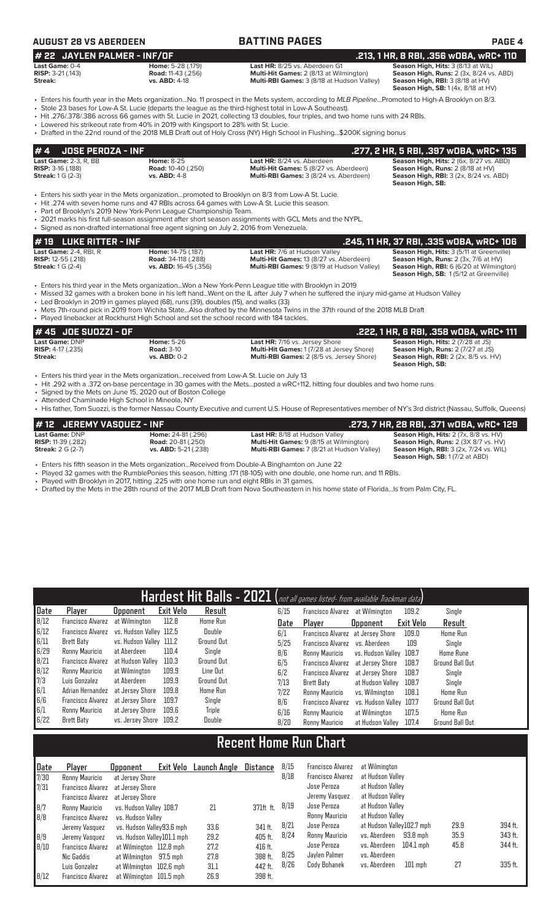| <b>AUGUST 28 VS ABERDEEN</b>                                                    |                                                                                                                                                                                                                                                                | <b>BATTING PAGES</b>                                                                                                                                                                                                                                                                                                                                                                                                                                                                                                       | <b>PAGE 4</b>                                                                                                                                                           |
|---------------------------------------------------------------------------------|----------------------------------------------------------------------------------------------------------------------------------------------------------------------------------------------------------------------------------------------------------------|----------------------------------------------------------------------------------------------------------------------------------------------------------------------------------------------------------------------------------------------------------------------------------------------------------------------------------------------------------------------------------------------------------------------------------------------------------------------------------------------------------------------------|-------------------------------------------------------------------------------------------------------------------------------------------------------------------------|
| # 22 JAYLEN PALMER - INF/OF                                                     |                                                                                                                                                                                                                                                                |                                                                                                                                                                                                                                                                                                                                                                                                                                                                                                                            | .213, 1 HR, 8 RBI, .356 wOBA, wRC+ 110                                                                                                                                  |
| Last Game: 0-4<br>RISP: 3-21 (.143)<br>Streak:                                  | Home: 5-28 (.179)<br><b>Road: 11-43 (.256)</b><br>vs. ABD: 4-18                                                                                                                                                                                                | Last HR: 8/25 vs. Aberdeen G1<br>Multi-Hit Games: 2 (8/13 at Wilmington)<br>Multi-RBI Games: 3 (8/18 at Hudson Valley)                                                                                                                                                                                                                                                                                                                                                                                                     | Season High, Hits: 3 (8/13 at WIL)<br>Season High, Runs: 2 (3x, 8/24 vs. ABD)<br>Season High, RBI: 3 (8/18 at HV)<br>Season High, SB: 1 (4x, 8/18 at HV)                |
|                                                                                 | • Lowered his strikeout rate from 40% in 2019 with Kingsport to 28% with St. Lucie.                                                                                                                                                                            | • Enters his fourth year in the Mets organizationNo. 11 prospect in the Mets system, according to MLB PipelinePromoted to High-A Brooklyn on 8/3.<br>• Stole 23 bases for Low-A St. Lucie (departs the league as the third-highest total in Low-A Southeast).<br>• Hit .276/.378/.386 across 66 games with St. Lucie in 2021, collecting 13 doubles, four triples, and two home runs with 24 RBIs.<br>• Drafted in the 22nd round of the 2018 MLB Draft out of Holy Cross (NY) High School in Flushing\$200K signing bonus |                                                                                                                                                                         |
| #4<br><b>JOSE PEROZA - INF</b>                                                  |                                                                                                                                                                                                                                                                |                                                                                                                                                                                                                                                                                                                                                                                                                                                                                                                            | .277, 2 HR, 5 RBI, .397 wOBA, wRC+ 135                                                                                                                                  |
| Last Game: 2-3, R, BB<br><b>RISP: 3-16 (.188)</b><br><b>Streak: 1 G (2-3)</b>   | <b>Home: 8-25</b><br><b>Road: 10-40 (.250)</b><br>vs. ABD: 4-8                                                                                                                                                                                                 | Last HR: 8/24 vs. Aberdeen<br>Multi-Hit Games: 5 (8/27 vs. Aberdeen)<br>Multi-RBI Games: 3 (8/24 vs. Aberdeen)                                                                                                                                                                                                                                                                                                                                                                                                             | Season High, Hits: 2 (6x, 8/27 vs. ABD)<br>Season High, Runs: 2 (8/18 at HV)<br><b>Season High, RBI: 3 (2x, 8/24 vs. ABD)</b><br><b>Season High, SB:</b>                |
|                                                                                 | • Hit .274 with seven home runs and 47 RBIs across 64 games with Low-A St. Lucie this season.<br>• Part of Brooklyn's 2019 New York-Penn League Championship Team.<br>• Signed as non-drafted international free agent signing on July 2, 2016 from Venezuela. | • Enters his sixth year in the Mets organizationpromoted to Brooklyn on 8/3 from Low-A St. Lucie.<br>• 2021 marks his first full-season assignment after short season assignments with GCL Mets and the NYPL.                                                                                                                                                                                                                                                                                                              |                                                                                                                                                                         |
| #19<br><b>LUKE RITTER - INF</b>                                                 |                                                                                                                                                                                                                                                                |                                                                                                                                                                                                                                                                                                                                                                                                                                                                                                                            | .245, 11 HR, 37 RBI, .335 wOBA, wRC+ 106                                                                                                                                |
| Last Game: 2-4, RBI, R<br><b>RISP:</b> 12-55 (.218)<br><b>Streak: 1 G (2-4)</b> | Home: 14-75 (.187)<br>Road: 34-118 (.288)<br>vs. ABD: 16-45 (.356)                                                                                                                                                                                             | Last HR: 7/6 at Hudson Valley<br>Multi-Hit Games: 13 (8/27 vs. Aberdeen)<br>Multi-RBI Games: 9 (8/19 at Hudson Valley)                                                                                                                                                                                                                                                                                                                                                                                                     | Season High, Hits: 3 (5/11 at Greenville)<br>Season High, Runs: 2 (3x, 7/6 at HV)<br>Season High, RBI: 6 (6/20 at Wilmington)<br>Season High, SB: 1(5/12 at Greenville) |
|                                                                                 | • Led Brooklyn in 2019 in games played (68), runs (39), doubles (15), and walks (33)<br>• Played linebacker at Rockhurst High School and set the school record with 184 tackles.                                                                               | Enters his third year in the Mets organizationWon a New York-Penn League title with Brooklyn in 2019<br>• Missed 32 games with a broken bone in his left handWent on the IL after July 7 when he suffered the injury mid-game at Hudson Valley<br>• Mets 7th-round pick in 2019 from Wichita StateAlso drafted by the Minnesota Twins in the 37th round of the 2018 MLB Draft                                                                                                                                              |                                                                                                                                                                         |
| #45 JOE SUOZZI - OF                                                             |                                                                                                                                                                                                                                                                |                                                                                                                                                                                                                                                                                                                                                                                                                                                                                                                            | .222, 1 HR, 6 RBI, .358 wOBA, wRC+ 111                                                                                                                                  |

| Last Game: DNP             | <b>Home:</b> 5-26 | <b>Last HR:</b> 7/16 vs. Jersey Shore            | <b>Season High, Hits: 2 (7/28 at JS)</b>    |
|----------------------------|-------------------|--------------------------------------------------|---------------------------------------------|
| <b>RISP:</b> $4-17$ (.235) | <b>Road: 3-10</b> | <b>Multi-Hit Games: 1(7/28 at Jersey Shore)</b>  | <b>Season High, Runs:</b> 2 (7/27 at JS)    |
| Streak:                    | $vs.$ ABD: $0-2$  | <b>Multi-RBI Games: 2 (8/5 vs. Jersey Shore)</b> | <b>Season High, RBI:</b> 2 (2x, 8/5 vs. HV) |
|                            |                   |                                                  | Season High, SB:                            |

- Enters his third year in the Mets organization...received from Low-A St. Lucie on July 13
- Hit .292 with a .372 on-base percentage in 30 games with the Mets...posted a wRC+112, hitting four doubles and two home runs
- Signed by the Mets on June 15, 2020 out of Boston College
- Attended Chaminade High School in Mineola, NY • His father, Tom Suozzi, is the former Nassau County Executive and current U.S. House of Representatives member of NY's 3rd district (Nassau, Suffolk, Queens)

| l# 12 JEREMY VASOUEZ - INF . |                           |                                                | , 273, 7 HR, 28 RBI, .371 wOBA, wRC+ 129. "   |
|------------------------------|---------------------------|------------------------------------------------|-----------------------------------------------|
| <b>Last Game: DNP</b>        | <b>Home: 24-81 (.296)</b> | <b>Last HR: 8/18 at Hudson Valley</b>          | Season High, Hits: 2 (7x, 8/8 vs. HV)         |
| <b>RISP:</b> 11-39 (.282)    | <b>Road:</b> 20-81 (.250) | <b>Multi-Hit Games:</b> 9 (8/15 at Wilmington) | Season High, Runs: 2 (3X 8/7 vs. HV)          |
| <b>Streak:</b> 2 G (2-7)     | vs. ABD: 5-21 (.238)      | Multi-RBI Games: 7 (8/21 at Hudson Valley)     | <b>Season High, RBI: 3 (2x, 7/24 vs. WIL)</b> |
|                              |                           |                                                | <b>Season High, SB: 1 (7/2 at ABD)</b>        |

- Enters his fifth season in the Mets organization...Received from Double-A Binghamton on June 22
- Played 32 games with the RumblePonies this season, hitting .171 (18-105) with one double, one home run, and 11 RBIs.
- Played with Brooklyn in 2017, hitting .225 with one home run and eight RBIs in 31 games.
- Drafted by the Mets in the 28th round of the 2017 MLB Draft from Nova Southeastern in his home state of Florida...Is from Palm City, FL.

|      |                   |                         |           | Hardest Hit Balls - 2021 (not all games listed- from available Trackman data) |      |                                   |                         |           |                        |
|------|-------------------|-------------------------|-----------|-------------------------------------------------------------------------------|------|-----------------------------------|-------------------------|-----------|------------------------|
| Date | Player            | <b>Opponent</b>         | Exit Velo | Result                                                                        | 6/15 | Francisco Alvarez                 | at Wilmington           | 109.2     | Single                 |
| 8/12 | Francisco Alvarez | at Wilmington           | 112.8     | <b>Home Run</b>                                                               | Date | Plaver                            | <b>Opponent</b>         | Exit Velo | Result                 |
| 6/12 | Francisco Alvarez | vs. Hudson Valley 112.5 |           | Double                                                                        | 6/1  | Francisco Alvarez at Jersey Shore |                         | 109.0     | Home Run               |
| 6/11 | Brett Baty        | vs. Hudson Valley 111.2 |           | Ground Out                                                                    | 5/25 | Francisco Alvarez                 | vs. Aberdeen            | 109       | Single                 |
| 6/29 | Ronny Mauricio    | at Aberdeen             | 110.4     | Single                                                                        | 8/6  | Ronny Mauricio                    | vs. Hudson Valley 108.7 |           | <b>Home Rune</b>       |
| 8/21 | Francisco Alvarez | at Hudson Vallev        | 110.3     | Ground Out                                                                    | 6/5  | <b>Francisco Alvarez</b>          | at Jersey Shore         | 108.7     | <b>Ground Ball Out</b> |
| 8/12 | Ronny Mauricio    | at Wilmington           | 109.9     | Line Out                                                                      | 6/2  | Francisco Alvarez                 | at Jersev Shore         | 108.7     | Single                 |
| 7/3  | Luis Gonzalez     | at Aberdeen             | 109.9     | Ground Out                                                                    | 7/13 | Brett Baty                        | at Hudson Vallev        | 108.7     | Sinale                 |
| 6/1  | Adrian Hernandez  | at Jersev Shore         | 109.8     | <b>Home Run</b>                                                               | 7/22 | Ronny Mauricio                    | vs. Wilminaton          | 108.1     | Home Run               |
| 6/6  | Francisco Alvarez | at Jersey Shore         | 109.7     | Single                                                                        | 8/6  | Francisco Alvarez                 | vs. Hudson Valley 107.7 |           | <b>Ground Ball Out</b> |
| 6/1  | Ronny Mauricio    | at Jersev Shore         | 109.6     | Triple                                                                        | 6/16 | Ronny Mauricio                    | at Wilmington           | 107.5     | Home Run               |
| 6/22 | Brett Baty        | vs. Jersey Shore 109.2  |           | Double                                                                        | 8/20 | Ronny Mauricio                    | at Hudson Vallev        | 107.4     | <b>Ground Ball Out</b> |

# **Recent Home Run Chart**

| Date                                       | Player                   | <b>Opponent</b>                   | Exit Velo Launch Angle | Distance  | 8/15 | Francisco Alvarez        | at Wilmington             |      |         |
|--------------------------------------------|--------------------------|-----------------------------------|------------------------|-----------|------|--------------------------|---------------------------|------|---------|
| 7/30                                       | Ronny Mauricio           | at Jersey Shore                   |                        |           | 8/18 | <b>Francisco Alvarez</b> | at Hudson Valley          |      |         |
| 7/31                                       | Francisco Alvarez        | at Jersev Shore                   |                        |           |      | Jose Peroza              | at Hudson Valley          |      |         |
|                                            |                          | Francisco Alvarez at Jersey Shore |                        |           |      | Jeremy Vasquez           | at Hudson Valley          |      |         |
| 8/7                                        | Ronny Mauricio           | vs. Hudson Valley 108.7           | 21                     | 371ft ft. | 8/19 | Jose Peroza              | at Hudson Valley          |      |         |
| 8/8                                        | Francisco Alvarez        | vs. Hudson Vallev                 |                        |           |      | Ronny Mauricio           | at Hudson Vallev          |      |         |
|                                            | Jeremy Vasquez           | vs. Hudson Valley93.6 mph         | 33.6                   | 341 ft.   | 8/21 | Jose Peroza              | at Hudson Valley102.7 mph | 29.9 | 394 ft. |
|                                            | Jeremy Vasquez           | vs. Hudson Valley101.1 mph        | 29.2                   | 405 ft.   | 8/24 | Ronny Mauricio           | vs. Aberdeen<br>93.8 mph  | 35.9 | 343 ft. |
| $\begin{array}{c} 8/9 \\ 8/10 \end{array}$ | Francisco Alvarez        | at Wilmington 112.8 mph           | 27.2                   | 416 ft.   |      | Jose Peroza              | vs. Aberdeen<br>104.1 mph | 45.8 | 344 ft. |
|                                            | Nic Gaddis               | at Wilmington 97.5 mph            | 27.8                   | 388 ft.   | 8/25 | Jaylen Palmer            | vs. Aberdeen              |      |         |
|                                            | Luis Gonzalez            | at Wilmington 102.6 mph           | 31.1                   | 442 ft.   | 8/26 | Cody Bohanek             | vs. Aberdeen<br>$101$ mph | 27   | 335 ft. |
| 8/12                                       | <b>Francisco Alvarez</b> | at Wilmington 101.5 mph           | 26.9                   | 398 ft.   |      |                          |                           |      |         |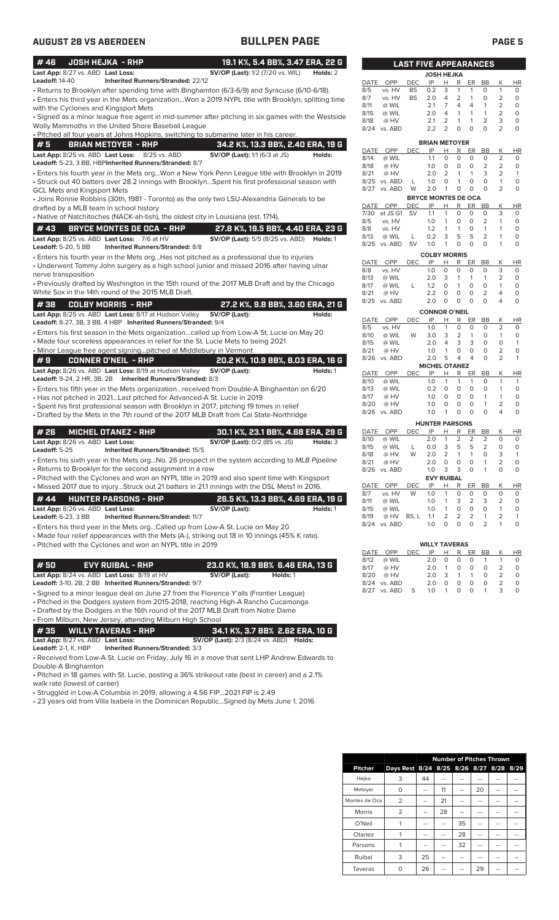| #46                                                              | <b>JOSH HEJKA - RHP</b>                                                                                                                       | 19.1 K%, 5.4 BB%, 3.47 ERA, 22 G                                                                  |          |
|------------------------------------------------------------------|-----------------------------------------------------------------------------------------------------------------------------------------------|---------------------------------------------------------------------------------------------------|----------|
| Last App: 8/27 vs. ABD Last Loss:<br>Leadoff: 14-40              | <b>Inherited Runners/Stranded: 22/12</b>                                                                                                      | <b>SV/OP (Last):</b> 1/2 (7/20 vs. WIL)                                                           | Holds: 2 |
|                                                                  |                                                                                                                                               | - Returns to Brooklyn after spending time with Binghamton (6/3-6/9) and Syracuse (6/10-6/18).     |          |
|                                                                  |                                                                                                                                               | Enters his third year in the Mets organizationWon a 2019 NYPL title with Brooklyn, splitting time |          |
| with the Cyclones and Kingsport Mets                             |                                                                                                                                               |                                                                                                   |          |
|                                                                  |                                                                                                                                               | Signed as a minor league free agent in mid-summer after pitching in six games with the Westside • |          |
|                                                                  | Wolly Mammoths in the United Shore Baseball League<br>• Pitched all four years at Johns Hopkins, switching to submarine later in his career.  |                                                                                                   |          |
| #5                                                               | <b>BRIAN METOYER - RHP</b>                                                                                                                    | 34.2 K%, 13.3 BB%, 2.40 ERA, 19 G                                                                 |          |
| Last App: 8/25 vs. ABD Last Loss:                                | 8/25 vs. ABD                                                                                                                                  | <b>SV/OP (Last):</b> 1/1 (6/3 at JS)                                                              | Holds:   |
|                                                                  | Leadoff: 5-23, 3 BB, HBPInherited Runners/Stranded: 8/7                                                                                       |                                                                                                   |          |
|                                                                  |                                                                                                                                               | Enters his fourth year in the Mets orgWon a New York Penn League title with Brooklyn in 2019      |          |
|                                                                  |                                                                                                                                               | · Struck out 40 batters over 28.2 innings with BrooklynSpent his first professional season with   |          |
| GCL Mets and Kingsport Mets                                      |                                                                                                                                               |                                                                                                   |          |
| drafted by a MLB team in school history                          |                                                                                                                                               | • Joins Ronnie Robbins (30th, 1981 - Toronto) as the only two LSU-Alexandria Generals to be       |          |
|                                                                  | • Native of Natchitoches (NACK-ah-tish), the oldest city in Louisiana (est. 1714).                                                            |                                                                                                   |          |
| #43                                                              | <b>BRYCE MONTES DE OCA - RHP</b>                                                                                                              | 27.8 K%, 19.5 BB%, 4.40 ERA, 23 G                                                                 |          |
|                                                                  | Last App: 8/25 vs. ABD Last Loss: 7/6 at HV                                                                                                   | <b>SV/OP (Last):</b> 5/5 (8/25 vs. ABD)                                                           | Holds: 1 |
| Leadoff: 5-20, 5 BB                                              | <b>Inherited Runners/Stranded: 8/8</b>                                                                                                        |                                                                                                   |          |
|                                                                  |                                                                                                                                               | • Enters his fourth year in the Mets orgHas not pitched as a professional due to injuries         |          |
|                                                                  |                                                                                                                                               | • Underwent Tommy John surgery as a high school junior and missed 2016 after having ulnar         |          |
| nerve transposition                                              |                                                                                                                                               |                                                                                                   |          |
|                                                                  | White Sox in the 14th round of the 2015 MLB Draft.                                                                                            | • Previously drafted by Washington in the 15th round of the 2017 MLB Draft and by the Chicago     |          |
|                                                                  |                                                                                                                                               |                                                                                                   |          |
| #38                                                              | <b>COLBY MORRIS - RHP</b>                                                                                                                     | 27.2 K%, 9.8 BB%, 3.60 ERA, 21 G                                                                  | Holds:   |
|                                                                  | Last App: 8/25 vs. ABD Last Loss: 8/17 at Hudson Valley<br>Leadoff: 8-27, 3B, 3 BB, 4 HBP Inherited Runners/Stranded: 9/4                     | SV/OP (Last):                                                                                     |          |
|                                                                  |                                                                                                                                               | • Enters his first season in the Mets organizationcalled up from Low-A St. Lucie on May 20        |          |
|                                                                  | • Made four scoreless appearances in relief for the St. Lucie Mets to being 2021                                                              |                                                                                                   |          |
|                                                                  | • Minor League free agent signingpitched at Middlebury in Vermont                                                                             |                                                                                                   |          |
| #9                                                               | <b>CONNER O'NEIL - RHP</b>                                                                                                                    | 20.2 K%, 10.9 BB%, 8.03 ERA, 16 G                                                                 |          |
|                                                                  | Last App: 8/26 vs. ABD Last Loss: 8/19 at Hudson Valley                                                                                       | SV/OP (Last):                                                                                     | Holds: 1 |
|                                                                  | Leadoff: 9-24, 2 HR, 3B, 2B Inherited Runners/Stranded: 8/3                                                                                   |                                                                                                   |          |
|                                                                  | • Has not pitched in 2021Last pitched for Advanced-A St. Lucie in 2019                                                                        | • Enters his fifth year in the Mets organizationreceived from Double-A Binghamton on 6/20         |          |
|                                                                  | • Spent his first professional season with Brooklyn in 2017, pitching 19 times in relief                                                      |                                                                                                   |          |
|                                                                  |                                                                                                                                               | • Drafted by the Mets in the 7th round of the 2017 MLB Draft from Cal State-Northridge            |          |
|                                                                  |                                                                                                                                               |                                                                                                   |          |
| # 26<br>Last App: 8/26 vs. ABD Last Loss:                        | <b>MICHEL OTANEZ - RHP</b>                                                                                                                    | 30.1 K%, 23.1 BB%, 4.68 ERA, 29 G<br><b>SV/OP (Last): 0/2 (BS vs. JS)</b>                         | Holds: 3 |
| Leadoff: 5-25                                                    | Inherited Runners/Stranded: 15/5                                                                                                              |                                                                                                   |          |
|                                                                  |                                                                                                                                               | . Enters his sixth year in the Mets orgNo. 26 prospect in the system according to MLB Pipeline    |          |
|                                                                  | • Returns to Brooklyn for the second assignment in a row                                                                                      |                                                                                                   |          |
|                                                                  |                                                                                                                                               | • Pitched with the Cyclones and won an NYPL title in 2019 and also spent time with Kingsport      |          |
|                                                                  |                                                                                                                                               | • Missed 2017 due to injuryStruck out 21 batters in 21.1 innings with the DSL Mets1 in 2016.      |          |
| #44                                                              | <b>HUNTER PARSONS - RHP</b>                                                                                                                   | 26.5 K%, 13.3 BB%, 4.69 ERA, 19 G                                                                 |          |
| Last App: 8/26 vs. ABD Last Loss:                                |                                                                                                                                               | SV/OP (Last):                                                                                     | Holds: 1 |
| Leadoff: 6-23, 3 BB                                              | <b>Inherited Runners/Stranded: 11/7</b>                                                                                                       |                                                                                                   |          |
|                                                                  | • Enters his third year in the Mets orgCalled up from Low-A St. Lucie on May 20                                                               | • Made four relief appearances with the Mets (A-), striking out 18 in 10 innings (45% K rate).    |          |
|                                                                  | • Pitched with the Cyclones and won an NYPL title in 2019                                                                                     |                                                                                                   |          |
|                                                                  |                                                                                                                                               |                                                                                                   |          |
| #50                                                              | <b>EVY RUIBAL - RHP</b>                                                                                                                       | 23.0 K%, 18.9 BB% 6.46 ERA, 13 G                                                                  |          |
|                                                                  | Last App: 8/24 vs. ABD Last Loss: 8/19 at HV                                                                                                  | SV/OP (Last):<br>Holds: 1                                                                         |          |
|                                                                  | Leadoff: 3-10, 2B, 2 BB Inherited Runners/Stranded: 9/7                                                                                       |                                                                                                   |          |
|                                                                  |                                                                                                                                               | · Signed to a minor league deal on June 27 from the Florence Y'alls (Frontier League)             |          |
|                                                                  |                                                                                                                                               | • Pitched in the Dodgers system from 2015-2018, reaching High-A Rancho Cucamonga                  |          |
|                                                                  | • Drafted by the Dodgers in the 16th round of the 2017 MLB Draft from Notre Dame<br>• From Milburn, New Jersey, attending Milburn High School |                                                                                                   |          |
|                                                                  |                                                                                                                                               |                                                                                                   |          |
| #35                                                              | <b>WILLY TAVERAS - RHP</b>                                                                                                                    | 34.1 K%, 3.7 BB% 2.62 ERA, 10 G<br><b>SV/OP (Last):</b> 2/3 (8/24 vs. ABD) <b>Holds:</b>          |          |
| Last App: 8/27 vs. ABD Last Loss:<br><b>Leadoff:</b> 2-1, K, HBP | <b>Inherited Runners/Stranded: 3/3</b>                                                                                                        |                                                                                                   |          |
|                                                                  |                                                                                                                                               | • Received from Low-A St. Lucie on Friday, July 16 in a move that sent LHP Andrew Edwards to      |          |
|                                                                  |                                                                                                                                               |                                                                                                   |          |

Double-A Binghamton • Pitched in 18 games with St. Lucie, posting a 36% strikeout rate (best in career) and a 2.1%

walk rate (lowest of career)

• Struggled in Low-A Columbia in 2019, allowing a 4.56 FIP...2021 FIP is 2.49

• 23 years old from Villa Isabela in the Dominican Republic...Signed by Mets June 1, 2016

|              | <u>LAST</u>     |            | ' FIVE APPEARANCES         |        |        |        |                |                |                  |
|--------------|-----------------|------------|----------------------------|--------|--------|--------|----------------|----------------|------------------|
|              |                 |            | <b>JOSH HEJKA</b>          |        |        |        |                |                |                  |
| DATE         | OPP             | <b>DEC</b> | IP                         | Н      | R      | ER     | <b>BB</b>      | Κ              | <b>HR</b>        |
| 8/5          | vs. HV          | BS         | 0.2                        | 3      | 1      | 1      | 0              | 1              | 0                |
| 8/7<br>8/11  | vs. HV          | <b>BS</b>  | 2.0                        | 4<br>7 | 2<br>4 | 1<br>4 | 0              | 2<br>2         | 0                |
| 8/15         | @ WIL           |            | 2.1                        | 4      | 1      | 1      | 1              |                | 0                |
|              | @ WIL           |            | 2.0<br>2.1                 | 2      | 1      | 1      | 1<br>2         | 2              | 0<br>0           |
| 8/18<br>8/24 | @ HV<br>vs. ABD |            | 2.2                        | 2      | 0      | 0      | 0              | 3<br>2         | 0                |
|              |                 |            |                            |        |        |        |                |                |                  |
|              |                 |            | <b>BRIAN METOYER</b>       |        |        |        |                |                |                  |
| DATE         | OPP             | DEC        | ΙP                         | Н      | R      | ER     | BB             | Κ              | ΗR               |
| 8/14         | @ WIL           |            | 1.1                        | 0      | 0      | 0      | O              | 2              | 0                |
| 8/18         | @ HV            |            | 1.0                        | 0      | 0      | 0      | 2              | 2              | 0                |
| 8/21         | @ HV            |            | 2.0                        | 2      | 1      | 1      | 3              | 2              | 1                |
| 8/25         | vs. ABD         | L          | 1.0                        | 0      | 1      | 0      | 0              | 1              | 0                |
| 8/27         | vs. ABD         | W          | 2.0                        | 1      | 0      | 0      | 0              | $\overline{2}$ | 0                |
|              |                 |            | <b>BRYCE MONTES DE OCA</b> |        |        |        |                |                |                  |
| DATE         | OPP             | DEC        | ΙP                         | Н      | R      | ER     | <b>BB</b>      | Κ              | <b>HR</b>        |
| 7/30         | at JS G1        | SV         | 1.1                        | 1      | 0      | 0      | 0              | 3              | 0                |
| 8/5          | vs. HV          |            | 1.0                        | 1      | 0      | 0      | $\overline{2}$ | 1              | 0                |
| 8/8          | vs. HV          |            | 1.2                        | 1      | 1      | 0      | 1              | 1              | 0                |
| 8/13         | @ WIL           | L          | 0.2                        | 3      | 5      | 5      | 2              | 1              | 0                |
| 8/25         | vs. ABD         | SV         | 1.0                        | 1      | 0      | 0      | 0              | 1              | 0                |
| <b>DATE</b>  | OPP             | DEC        | <b>COLBY MORRIS</b><br>IP  | Н      | R      | ER     | <b>BB</b>      | Κ              | ΗR               |
| 8/8          | vs. HV          |            | 1.0                        | 0      | 0      | 0      | 0              | 3              | 0                |
| 8/13         | @ WIL           |            | 2.0                        | 3      | 1      | 1      | 1              | 2              | 0                |
| 8/17         | @ WIL           | L          | 1.2                        | 0      | 1      | 0      | 0              | 1              | 0                |
| 8/21         | @ HV            |            | 2.2                        | 0      | 0      | 0      | 2              | 4              | 0                |
| 8/25         | vs. ABD         |            | 2.0                        | 0      | 0      | 0      | 0              | 4              | 0                |
|              |                 |            |                            |        |        |        |                |                |                  |
| DATE         | OPP             | DEC        | <b>CONNOR O'NEIL</b><br>IP | Н      | R      | ER     | BB             | Κ              | ΗR               |
| 8/5          | vs. HV          |            | 1.0                        | 1      | 0      | 0      | 0              | 2              | 0                |
| 8/10         | @ WIL           | W          | 3.0                        | 3      | 2      | 1      | 0              | 1              | 0                |
| 8/15         | @ WIL           |            | 2.0                        | 4      | 3      | 3      | 0              | 0              | 1                |
| 8/21         | @ HV            |            | 1.0                        | 1      | 0      | 0      | 0              | 2              | 0                |
| 8/26         | vs. ABD         |            | 2.0                        | 5      | 4      | 4      | 0              | 2              | 1                |
|              |                 |            | <b>MICHEL OTANEZ</b>       |        |        |        |                |                |                  |
| DATE         | OPP             | DEC        | IP                         | Н      | R      | ER     | BB             | Κ              | ΗR               |
| 8/10         | @ WIL           |            | 1.0                        | 1      | 1      | 1      | 0              | 1              | 1                |
| 8/13         | @ WIL           |            | 0.2                        | 0      | 0      | 0      | 0              | 1              | 0                |
| 8/17         | @ HV            |            | 1.0                        | 0      | 0      | 0      | 1              | 1              | 0                |
| 8/20         | @ HV            |            | 1.0                        | 0      | 0      | 0      | 1              | 2              | 0                |
| 8/26         | vs. ABD         |            | 1.0                        | 1      | 0      | 0      | 0              | 4              | 0                |
|              |                 |            | <b>HUNTER PARSONS</b>      |        |        |        |                |                |                  |
| DATE         | OPP             | DEC        | IP                         | Н      | R      | ER     | <b>BB</b>      | Κ              | $H\underline{R}$ |
| 8/10         | @ WIL           |            | 2.0                        | 1      | 2      | 2      | 2              | 0              | 0                |
| 8/15         | @ WIL           | L          | 0.0                        | 3      | 5      | 5      | 2              | 0              | 0                |
| 8/18         | @ HV            | W          | 2.0                        | 2      | 1      | 1      | 0              | 3              | 1                |
| 8/21         | @ HV            |            | 2.0                        | 0      | 0      | 0      | 1              | 2              | 0                |
| 8/26         | vs. ABD         |            | 1.0                        | 3      | 3      | O      | 1              | 0              | 0                |
|              |                 |            | <b>EVY RUIBAL</b>          |        |        |        |                |                |                  |
|              | DATE OPP DEC    |            | IP                         | н      | R      | ER     | BB             | Κ              | HR               |
| 8/7          | vs. HV          | W          | 1.0                        | 1      | 0      | 0      | 0              | 0              | 0                |
| 8/11         | @ WIL           |            | 1.0                        | 1      | 3      | 2      | 3              | 2              | 0                |
| 8/15         | @ WIL           |            | 1.0                        | 1      | 0      | 0      | 0              | 1              | 0                |
| 8/19         | @ HV            | BS, L      | 1.1                        | 2      | 2      | 2      | 1              | 2              | 1                |
|              | 8/24 vs. ABD    |            | 1.0                        | 0      | 0      | 0      | $\overline{2}$ | 1              | 0                |
|              |                 |            |                            |        |        |        |                |                |                  |
|              |                 |            | <b>WILLY TAVERAS</b>       |        |        |        |                |                |                  |

|      |              |      | <b>WILLY TAVERAS</b> |               |                   |                   |          |   |    |
|------|--------------|------|----------------------|---------------|-------------------|-------------------|----------|---|----|
| DATE | <b>OPP</b>   | DEC. | IP                   | н             | R                 | ER                | BB       | K | HR |
| 8/12 | @ WIL        |      | 2 O                  | O.            | O                 | 0                 | -1       |   | O  |
| 8/17 | @ HV         |      | 2 O                  | 1             | O                 | O                 | O        |   | O  |
| 8/20 | @ HV         |      | 2 O                  | $\mathcal{R}$ | 1                 | 1                 | O        |   |    |
|      | 8/24 vs. ABD |      | 2 O                  | O             | O                 | O                 | $\Omega$ |   |    |
|      | 8/27 vs. ABD | S    | 1.0                  | 1             | $\mathbf{\Omega}$ | $\mathbf{\Omega}$ |          | 3 |    |

|                |                                         | <b>Number of Pitches Thrown</b> |    |    |    |    |    |  |  |
|----------------|-----------------------------------------|---------------------------------|----|----|----|----|----|--|--|
| <b>Pitcher</b> | Days Rest 8/24 8/25 8/26 8/27 8/28 8/29 |                                 |    |    |    |    |    |  |  |
| Hejka          | 3                                       | 44                              |    |    |    |    |    |  |  |
| Metoyer        | 0                                       |                                 | 11 | -- | 20 | -- | -- |  |  |
| Montes de Oca  | $\overline{2}$                          | --                              | 21 |    | -- |    | -- |  |  |
| <b>Morris</b>  | 2                                       |                                 | 28 |    |    |    |    |  |  |
| O'Neil         |                                         | --                              |    | 35 | -- | -- | -- |  |  |
| Otanez         |                                         |                                 |    | 28 |    |    |    |  |  |
| Parsons        |                                         |                                 |    | 32 |    |    |    |  |  |
| Ruibal         | 3                                       | 25                              | -- | -- |    | -- |    |  |  |
| Taveras        |                                         | 26                              |    |    | 29 |    |    |  |  |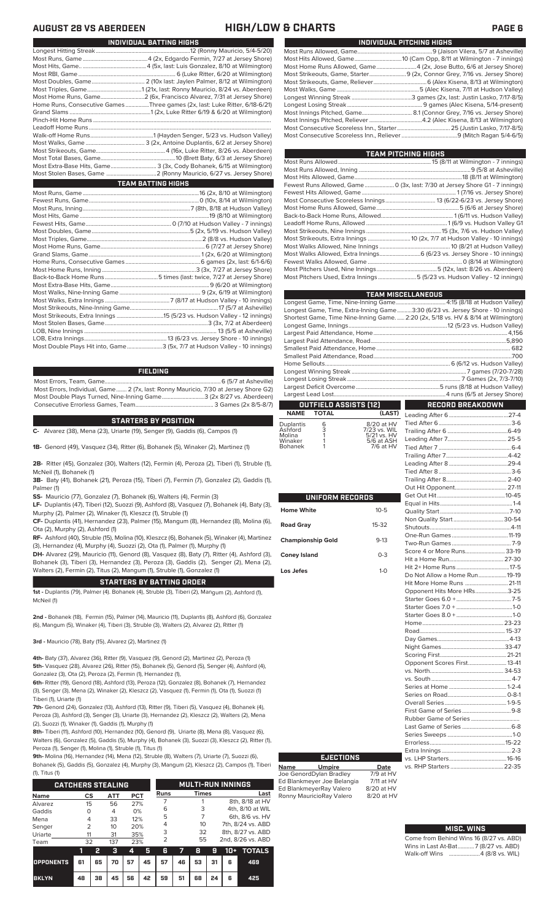| INDIVIDUAL PITCHING HIGHS                                                 |
|---------------------------------------------------------------------------|
|                                                                           |
|                                                                           |
| Most Home Runs Allowed, Game 4 (2x, Jose Butto, 6/6 at Jersey Shore)      |
| Most Strikeouts, Game, Starter 9 (2x, Connor Grey, 7/16 vs. Jersey Shore) |
|                                                                           |
|                                                                           |
|                                                                           |
|                                                                           |
|                                                                           |
|                                                                           |
|                                                                           |
|                                                                           |

| TEAM PITCHING HIGHS                                                          |
|------------------------------------------------------------------------------|
|                                                                              |
|                                                                              |
|                                                                              |
| Fewest Runs Allowed, Game  0 (3x, last: 7/30 at Jersey Shore G1 - 7 innings) |
|                                                                              |
|                                                                              |
|                                                                              |
|                                                                              |
|                                                                              |
|                                                                              |
|                                                                              |
|                                                                              |
| Most Walks Allowed, Extra Innings 6 (6/23 vs. Jersey Shore - 10 innings)     |
|                                                                              |
|                                                                              |
| Most Pitchers Used, Extra Innings 5 (5/23 vs. Hudson Valley - 12 innings)    |
|                                                                              |

| <b>TEAM MISCELLANEOUS</b>                                                          |  |
|------------------------------------------------------------------------------------|--|
| Longest Game, Time, Nine-Inning Game 4:15 (8/18 at Hudson Valley)                  |  |
| Longest Game, Time, Extra-Inning Game3:30 (6/23 vs. Jersey Shore - 10 innings)     |  |
| Shortest Game, Time Nine-Inning Game.  2:20 (2x, 5/18 vs. HV & 8/14 at Wilmington) |  |
|                                                                                    |  |
|                                                                                    |  |
|                                                                                    |  |
|                                                                                    |  |
|                                                                                    |  |
|                                                                                    |  |
|                                                                                    |  |
|                                                                                    |  |
|                                                                                    |  |
|                                                                                    |  |
|                                                                                    |  |

# **OUTFIELD ASSISTS (12)**

| 6 | 8/20 at HV   |
|---|--------------|
| 3 | 7/23 vs. WIL |
| 1 | 5/21 vs. HV  |
|   | 5/6 at ASH   |
|   | 7/6 at HV    |
|   |              |

| UNIFORM RECORDS          |          |                              |  |
|--------------------------|----------|------------------------------|--|
|                          |          |                              |  |
| <b>Home White</b>        | $10 - 5$ |                              |  |
|                          |          |                              |  |
| <b>Road Gray</b>         | $15-32$  |                              |  |
|                          | $9 - 13$ |                              |  |
| <b>Championship Gold</b> |          |                              |  |
| <b>Coney Island</b>      | $0 - 3$  |                              |  |
|                          |          |                              |  |
| Los Jefes                | $1 - 0$  |                              |  |
|                          |          | Do Not Allow a Home Run19-19 |  |
|                          |          |                              |  |
|                          |          | Opponent Hits More HRs3-25   |  |
|                          |          |                              |  |
|                          |          |                              |  |
|                          |          |                              |  |
|                          |          |                              |  |
|                          |          |                              |  |
|                          |          |                              |  |
|                          |          |                              |  |
|                          |          |                              |  |
|                          |          | Opponent Scores First 13-41  |  |
|                          |          |                              |  |
|                          |          |                              |  |
|                          |          |                              |  |
|                          |          |                              |  |
|                          |          |                              |  |
|                          |          |                              |  |

**Name Umpire Date**<br>Joe GenordDylan Bradlev 7/9 at HV Joe GenordDylan Bradley 7/9 at HV

**EJECTIONS**

Ed BlankmeyerRay Valero 8/20 at HV<br>Ronny MauricioRay Valero 8/20 at HV

Ed Blankmeyer Joe Belangia

Ronny MauricioRay Valero

### **RECORD BREAKDOWN** a ka **NAME TOTAL (LAST)** Leading After 6........................................27-4 Tied After 6.................................................3-6 Trailing After 6 .........................................6-49 Leading After 7........................................ 25-5 Tied After 7. Trailing After 7..........................................4-42 Leading After 8 ........................................29-4 Tied After 8.................................................3-6 Trailing After 8......................................... 2-40 Opponent. Get Out Hit..............................................10-45 Equal in Hits.................................................1-4 Quality Start ...............................................7-10 Non Quality Start..................................30-54 Shutouts.......................................................4-11 One-Run Games ......................................11-19 Two-Run Games ........................................ 7-9 or More
Runs... Hit a Home Run..................................... 27-30 lome Runs. Allow a Home Run......................19-<mark>19</mark><br>e Home Runs ............................. 21-11 Hit More Home Runs .............................21-11 nt Hits More HRs. Starter Goes 6.0 +..................................... 7-5 Starter Goes 7.0 + ......................................1-0  $G$  Oes  $8.0 + 1$  $23-23$ <br>15-37 Road.......................................................... 15-37 Day Games.................................................4-13 Night Games...........................................33-47 Scoring First.............................................21-21 Opponent Scores First.......................... 13-41

## **MISC. WINS**

Extra Innings...

vs. RHP Starters ...

|               | Come from Behind Wins 16 (8/27 vs. ABD) |
|---------------|-----------------------------------------|
|               | Wins in Last At-Bat7 (8/27 vs. ABD)     |
| Walk-off Wins |                                         |

Rubber Game of Series ................................. Last Game of Series .................................6-8 Series Sweeps ............................................1-0 Errorless...................................................15-22

vs. LHP Starters.......................................16-16

| INDIVIDUAL BATTING HIGHS                                                    |
|-----------------------------------------------------------------------------|
|                                                                             |
|                                                                             |
|                                                                             |
|                                                                             |
|                                                                             |
|                                                                             |
|                                                                             |
| Home Runs, Consecutive Games Three games (2x, last: Luke Ritter, 6/18-6/21) |
|                                                                             |
|                                                                             |
|                                                                             |
|                                                                             |
|                                                                             |
|                                                                             |
|                                                                             |
| Most Extra Raso Hits Came 2.12x Cody Robanok 6.15 at Wilmington             |

Most Extra-Base Hits, Game............................... 3 (3x, Cody Bohanek, 6/15 at Wilmington) .<br>2 (Ronny Mauricio, 6/27 vs. Jersey Shore) Most Runs, Game ...............................................................................16 (2x, 8/10 at Wilmington) Fewest Runs, Game...........................................................................0 (10x, 8/14 at Wilmington) Most Runs, Inning.........................................................................7 (8th, 8/18 at Hudson Valley) Most Hits, Game ........................................................................................19 (8/10 at Wilmington) 0 (7/10 at Hudson Valley - 7 innings) Most Doubles, Game...................................................................5 (2x, 5/19 vs. Hudson Valley) Most Triples, Game..............................................................................2 (8/8 vs. Hudson Valley) Most Home Runs, Game......<br>Grand Slams, Game.............. 1 (2x, 6/20 at Wilmington) Home Runs, Consecutive Games ...................................................6 games (2x, last: 6/1-6/6) Most Home Runs, Inning ..................<br>Most Home Runs, Inning ................<br>Back-to-Back Home Runs .............. Back-to-Back Home Runs ....................................5 times (last: twice, 7/27 at Jersey Shore) Most Extra-Base Hits, Game. Most Walks, Nine-Inning Game ....................................................... 9 (2x, 6/19 at Wilmington) **TEAM BATTING HIGHS**

Most Walks, Extra Innings ............................................7 (8/17 at Hudson Valley - 10 innings) Most Strikeouts, Nine-Inning Game......<br>Most Strikeouts, Extra Innings .............. Most Strikeouts, Extra Innings ................................15 (5/23 vs. Hudson Valley - 12 innings) Most Stolen Bases, Game......................................................................3 (3x, 7/2 at Aberdeen) LOB, Nine Innings ......<br>LOB, Extra Innings...... LOB, Extra Innings........................................................13 (6/23 vs. Jersey Shore - 10 innings) .3 (5x, 7/7 at Hudson Valley - 10 innings)

## **FIELDING**

Most Errors, Team, Game...............................................................................6 (5/7 at Asheville) Most Errors, Individual, Game....... 2 (7x, last: Ronny Mauricio, 7/30 at Jersey Shore G2) Most Double Plays Turned, Nine-Inning Game.............................3 (2x 8/27 vs. Aberdeen) Consecutive Errorless Games, Team.

### **STARTERS BY POSITION**

**C-** Alvarez (38), Mena (23), Uriarte (19), Senger (9), Gaddis (6), Campos (1)

**1B-** Genord (49), Vasquez (34), Ritter (6), Bohanek (5), Winaker (2), Martinez (1)

**2B-** Ritter (45), Gonzalez (30), Walters (12), Fermin (4), Peroza (2), Tiberi (1), Struble (1), McNeil (1), Bohanek (1)

**3B-** Baty (41), Bohanek (21), Peroza (15), Tiberi (7), Fermin (7), Gonzalez (2), Gaddis (1), Palmer (1)

**SS-** Mauricio (77), Gonzalez (7), Bohanek (6), Walters (4), Fermin (3)

**LF-** Duplantis (47), Tiberi (12), Suozzi (9), Ashford (8), Vasquez (7), Bohanek (4), Baty (3), Murphy (2), Palmer (2), Winaker (1), Kleszcz (1), Struble (1)

**CF-** Duplantis (41), Hernandez (23), Palmer (15), Mangum (8), Hernandez (8), Molina (6), Ota (2), Murphy (2), Ashford (1)

**RF-** Ashford (40), Struble (15), Molina (10), Kleszcz (6), Bohanek (5), Winaker (4), Martinez (3), Hernandez (4), Murphy (4), Suozzi (2), Ota (1), Palmer (1), Murphy (1)

**DH-** Alvarez (29), Mauricio (11), Genord (8), Vasquez (8), Baty (7), Ritter (4), Ashford (3), Bohanek (3), Tiberi (3), Hernandez (3), Peroza (3), Gaddis (2), Senger (2), Mena (2), Walters (2), Fermin (2), Titus (2), Mangum (1), Struble (1), Gonzalez (1)

## **STARTERS BY BATTING ORDER**

**1st -** Duplantis (79), Palmer (4). Bohanek (4), Struble (3), Tiberi (2), Mangum (2), Ashford (1), McNeil (1)

**2nd -** Bohanek (18), Fermin (15), Palmer (14), Mauricio (11), Duplantis (8), Ashford (6), Gonzalez (6), Mangum (5), Winaker (4), Tiberi (3), Struble (3), Walters (2), Alvarez (2), Ritter (1)

**3rd -** Mauricio (78), Baty (15), Alvarez (2), Martinez (1)

**4th-** Baty (37), Alvarez (36), Ritter (9), Vasquez (9), Genord (2), Martinez (2), Peroza (1) **5th-** Vasquez (28), Alvarez (26), Ritter (15), Bohanek (5), Genord (5), Senger (4), Ashford (4), Gonzalez (3), Ota (2), Peroza (2), Fermin (1), Hernandez (1),

**6th-** Ritter (19), Genord (18), Ashford (13), Peroza (12), Gonzalez (8), Bohanek (7), Hernandez (3), Senger (3), Mena (2), Winaker (2), Kleszcz (2), Vasquez (1), Fermin (1), Ota (1), Suozzi (1) Tiberi (1), Uriarte (1)

**7th-** Genord (24), Gonzalez (13), Ashford (13), Ritter (9), Tiberi (5), Vasquez (4), Bohanek (4), Peroza (3), Ashford (3), Senger (3), Uriarte (3), Hernandez (2), Kleszcz (2), Walters (2), Mena (2), Suozzi (1), Winaker (1), Gaddis (1), Murphy (1)

**8th-** Tiberi (11), Ashford (10), Hernandez (10), Genord (9), Uriarte (8), Mena (8), Vasquez (6), Walters (6), Gonzalez (5), Gaddis (5), Murphy (4), Bohanek (3), Suozzi (3), Kleszcz (2), Ritter (1), Peroza (1), Senger (1), Molina (1), Struble (1), Titus (1)

**9th-** Molina (16), Hernandez (14), Mena (12), Struble (8), Walters (7), Uriarte (7), Suozzi (6), Bohanek (5), Gaddis (5), Gonzalez (4), Murphy (3), Mangum (2), Kleszcz (2), Campos (1), Tiberi

(1), Titus (1)

|                  | <b>CATCHERS STEALING</b> |    |                |            |    |             |    | <b>MULTI-RUN INNINGS</b> |    |                   |                   |  |  |
|------------------|--------------------------|----|----------------|------------|----|-------------|----|--------------------------|----|-------------------|-------------------|--|--|
| <b>Name</b>      | CS                       |    | <b>ATT</b>     | <b>PCT</b> |    | <b>Runs</b> |    | <b>Times</b>             |    |                   | Last              |  |  |
| Alvarez          | 15                       |    | 56             | 27%        |    |             |    |                          |    |                   | 8th, 8/18 at HV   |  |  |
| Gaddis           |                          |    | $\overline{4}$ | 0%         |    | 6           |    | 3                        |    |                   | 4th, 8/10 at WIL  |  |  |
| Mena             | 4                        |    | 33             | 12%        |    | 5           |    |                          |    |                   | 6th, 8/6 vs. HV   |  |  |
| Senger           | 2                        |    | 10             | 20%        |    | 4           |    | 10                       |    | 7th, 8/24 vs. ABD |                   |  |  |
| Uriarte          | 11                       |    | 31             | 35%        |    | 3           |    | 32                       |    | 8th, 8/27 vs. ABD |                   |  |  |
| Team             | 32                       |    | 137            | 23%        |    | っ           |    | 55                       |    |                   | 2nd, 8/26 vs. ABD |  |  |
|                  | ٦                        | 2  | з              | 4          | 5  | ĥ           |    | 8                        | g  | 10+               | <b>TOTALS</b>     |  |  |
| <b>OPPONENTS</b> | 61                       | 65 | 70             | 57         | 45 | 57          | 46 | 53                       | 31 | 6                 | 469               |  |  |

**BKLYN 48 38 45 56 42 59 51 68 24 6 425**

# **AUGUST 28 VS ABERDEEN HIGH/LOW & CHARTS PAGE 6**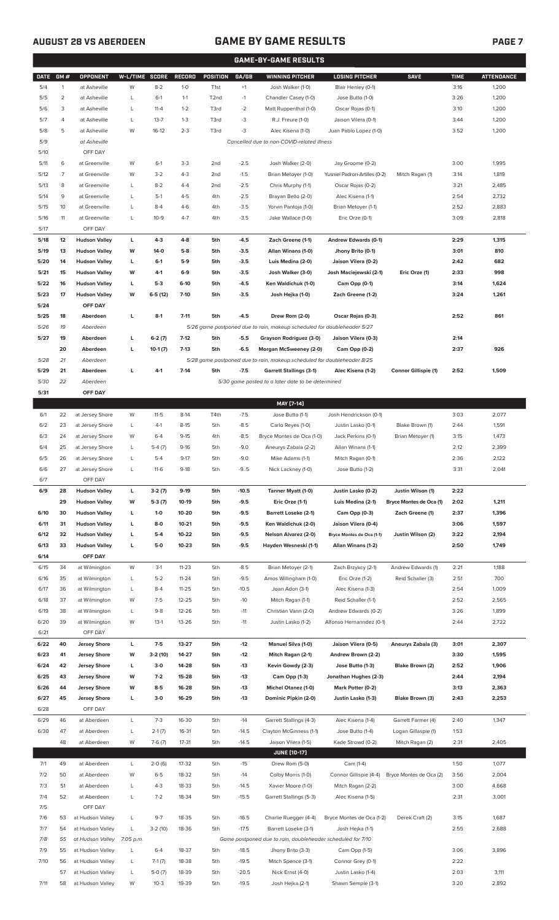# **AUGUST 28 VS ABERDEEN GAME BY GAME RESULTS**

|--|

| <b>GAME-BY-GAME RESULTS</b> |                |                            |                |           |               |                   |         |                                                                         |                               |                         |             |                   |
|-----------------------------|----------------|----------------------------|----------------|-----------|---------------|-------------------|---------|-------------------------------------------------------------------------|-------------------------------|-------------------------|-------------|-------------------|
| <b>DATE</b>                 | GM#            | OPPONENT                   | W-L/TIME SCORE |           | <b>RECORD</b> | <b>POSITION</b>   | GA/GB   | <b>WINNING PITCHER</b>                                                  | <b>LOSING PITCHER</b>         | <b>SAVE</b>             | <b>TIME</b> | <b>ATTENDANCE</b> |
| 5/4                         | $\mathbf{1}$   | at Asheville               | W              | $8 - 2$   | $1-0$         | T <sub>1st</sub>  | $+1$    | Josh Walker (1-0)                                                       | Blair Henley (0-1)            |                         | 3:16        | 1,200             |
| 5/5                         | $\overline{2}$ | at Asheville               | L              | $6-1$     | $1 - 1$       | T <sub>2</sub> nd | $-1$    | Chandler Casey (1-0)                                                    | Jose Butto (1-0)              |                         | 3:26        | 1,200             |
| 5/6                         | 3              | at Asheville               | L              | $11 - 4$  | $1 - 2$       | T3rd              | $-2$    | Matt Ruppenthal (1-0)                                                   | Oscar Rojas (0-1)             |                         | 3:10        | 1,200             |
| 5/7                         | 4              | at Asheville               | L              | $13 - 7$  | $1 - 3$       | T3rd              | -3      | R.J. Freure (1-0)                                                       | Jaison Vilera (0-1)           |                         | 3:44        | 1,200             |
| 5/8                         | 5              | at Asheville               | W              | $16-12$   | $2 - 3$       | T3rd              | -3      | Alec Kisena (1-0)                                                       | Juan Pablo Lopez (1-0)        |                         | 3:52        | 1,200             |
| 5/9                         |                | at Asheville               |                |           |               |                   |         | Cancelled due to non-COVID-related illness                              |                               |                         |             |                   |
| 5/10                        |                | OFF DAY                    |                |           |               |                   |         |                                                                         |                               |                         |             |                   |
| 5/11                        | 6              | at Greenville              | W              | $6-1$     | $3-3$         | 2 <sub>nd</sub>   | $-2.5$  | Josh Walker (2-0)                                                       | Jay Groome (0-2)              |                         | 3:00        | 1,995             |
| 5/12                        | 7              | at Greenville              | W              | $3 - 2$   | $4 - 3$       | 2 <sub>nd</sub>   | $-1.5$  | Brian Metoyer (1-0)                                                     | Yusniel Padron-Artilles (0-2) | Mitch Ragan (1)         | 3:14        | 1,819             |
| 5/13                        | 8              | at Greenville              | L              | $8 - 2$   | $4 - 4$       | 2nd               | $-2.5$  | Chris Murphy (1-1)                                                      | Oscar Rojas (0-2)             |                         | 3:21        | 2,485             |
| 5/14                        | 9              | at Greenville              | L              | $5-1$     | $4 - 5$       | 4th               | $-2.5$  | Brayan Bello (2-0)                                                      | Alec Kisena (1-1)             |                         | 2:54        | 2,732             |
| 5/15                        | 10             | at Greenville              | L              | $8 - 4$   | $4-6$         | 4th               | $-3.5$  | Yorvin Pantoja (1-0)                                                    | Brian Metoyer (1-1)           |                         | 2:52        | 2,883             |
| 5/16                        | 11             | at Greenville              | L              | $10-9$    | $4 - 7$       | 4th               | $-3.5$  | Jake Wallace (1-0)                                                      | Eric Orze (0-1)               |                         | 3:09        | 2,818             |
| 5/17                        |                | OFF DAY                    |                |           |               |                   |         |                                                                         |                               |                         |             |                   |
| 5/18                        | 12             | <b>Hudson Valley</b>       | L              | $4 - 3$   | $4 - 8$       | 5th               | $-4.5$  | Zach Greene (1-1)                                                       | Andrew Edwards (0-1)          |                         | 2:29        | 1,315             |
| 5/19                        | 13             | <b>Hudson Valley</b>       | W              | $14-0$    | $5-8$         | 5th               | $-3.5$  | Allan Winans (1-0)                                                      | Jhony Brito (0-1)             |                         | 3:01        | 810               |
| 5/20                        | 14             | <b>Hudson Valley</b>       | L              | $6-1$     | $5-9$         | 5th               | $-3.5$  | Luis Medina (2-0)                                                       | Jaison Vilera (0-2)           |                         | 2:42        | 682               |
| 5/21                        | 15             | <b>Hudson Valley</b>       | W              | $4-1$     | $6-9$         | 5th               | $-3.5$  | Josh Walker (3-0)                                                       | Josh Maciejewski (2-1)        | Eric Orze (1)           | 2:33        | 998               |
| 5/22                        | 16             | <b>Hudson Valley</b>       | L              | $5-3$     | $6-10$        | 5th               | $-4.5$  | Ken Waldichuk (1-0)                                                     | Cam Opp (0-1)                 |                         | 3:14        | 1,624             |
| 5/23                        | 17             | <b>Hudson Valley</b>       | W              | $6-5(12)$ | $7-10$        | 5th               | $-3.5$  | Josh Hejka (1-0)                                                        | Zach Greene (1-2)             |                         | 3:24        | 1,261             |
| 5/24                        |                | OFF DAY                    |                |           |               |                   |         |                                                                         |                               |                         |             |                   |
| 5/25                        | 18             | Aberdeen                   | L              | $8-1$     | $7 - 11$      | 5th               | $-4.5$  | Drew Rom (2-0)                                                          | Oscar Rojas (0-3)             |                         | 2:52        | 861               |
| 5/26                        | 19             | Aberdeen                   |                |           |               |                   |         | 5/26 game postponed due to rain, makeup scheduled for doubleheader 5/27 |                               |                         |             |                   |
| 5/27                        | 19             | Aberdeen                   | г              | $6-2(7)$  | $7-12$        | 5th               | $-5.5$  | Grayson Rodriguez (3-0)                                                 | Jaison Vilera (0-3)           |                         | 2:14        |                   |
|                             | 20             | Aberdeen                   | L              | $10-1(7)$ | $7-13$        | 5th               | $-6.5$  | Morgan McSweeney (2-0)                                                  | Cam Opp (0-2)                 |                         | 2:37        | 926               |
| 5/28                        | 21             | Aberdeen                   |                |           |               |                   |         | 5/28 game postponed due to rain, makeup scheduled for doubleheader 8/25 |                               |                         |             |                   |
| 5/29                        | 21             | Aberdeen                   | г              | $4-1$     | $7-14$        | 5th               | $-7.5$  | <b>Garrett Stallings (3-1)</b>                                          | Alec Kisena (1-2)             | Connor Gillispie (1)    | 2:52        | 1,509             |
| 5/30                        | 22             | Aberdeen                   |                |           |               |                   |         | 5/30 game posted to a later date to be determined                       |                               |                         |             |                   |
| 5/31                        |                | OFF DAY                    |                |           |               |                   |         |                                                                         |                               |                         |             |                   |
|                             |                |                            |                |           |               |                   |         | MAY [7-14]                                                              |                               |                         |             |                   |
| 6/1                         | 22             | at Jersey Shore            | W              | $11-5$    | $8-14$        | T4th              | $-7.5$  | Jose Butto (1-1)                                                        | Josh Hendrickson (0-1)        |                         | 3:03        | 2,077             |
| 6/2                         | 23             | at Jersey Shore            | L              | $4-1$     | $8 - 15$      | 5th               | $-8.5$  | Carlo Reyes (1-0)                                                       | Justin Lasko (0-1)            | Blake Brown (1)         | 2:44        | 1,591             |
| 6/3                         | 24             | at Jersey Shore            | W              | $6 - 4$   | $9-15$        | 4th               | $-8.5$  | Bryce Montes de Oca (1-0)                                               | Jack Perkins (0-1)            | Brian Metoyer (1)       | 3:15        | 1,473             |
| 6/4                         | 25             | at Jersey Shore            | L              | $5-4(7)$  | $9-16$        | 5th               | $-9.0$  | Aneurys Zabala (2-2)                                                    | Allan Winans (1-1)            |                         | 2:12        | 2,399             |
| 6/5                         | 26             | at Jersey Shore            | Г              | $5-4$     | $9-17$        | 5th               | $-9.0$  | Mike Adams (1-1)                                                        | Mitch Ragan (0-1)             |                         | 2:36        | 2,122             |
| 6/6                         | 27             | at Jersey Shore            | L              | $11-6$    | $9-18$        | 5th               | $-9.5$  | Nick Lackney (1-0)                                                      | Jose Butto (1-2)              |                         | 3:31        | 2,041             |
| 6/7                         |                | OFF DAY                    |                |           |               |                   |         |                                                                         |                               |                         |             |                   |
| 6/9                         | 28             | <b>Hudson Valley</b>       | L              | $3-2(7)$  | $9-19$        | 5th               | $-10.5$ | Tanner Myatt (1-0)                                                      | Justin Lasko (0-2)            | Justin Wilson (1)       | 2:22        |                   |
|                             | 29             | <b>Hudson Valley</b>       | W              | $5-3(7)$  | 10-19         | 5th               | $-9.5$  | Eric Orze (1-1)                                                         | Luis Medina (2-1)             | Bryce Montes de Oca (1) | 2:02        | 1,211             |
| 6/10                        | 30             | <b>Hudson Valley</b>       | L              | $1 - 0$   | 10-20         | 5th               | $-9.5$  | <b>Barrett Loseke (2-1)</b>                                             | Cam Opp (0-3)                 | Zach Greene (1)         | 2:37        | 1,396             |
| 6/11                        | 31             | <b>Hudson Valley</b>       | L              | $8-0$     | $10 - 21$     | 5th               | $-9.5$  | Ken Waldichuk (2-0)                                                     | Jaison Vilera (0-4)           |                         | 3:06        | 1,597             |
| 6/12                        | 32             | <b>Hudson Valley</b>       | г              | $5-4$     | 10-22         | 5th               | $-9.5$  | Nelson Alvarez (2-0)                                                    | Bryce Montes de Oca (1-1)     | Justin Wilson (2)       | 3:22        | 2,194             |
| 6/13                        | 33             | <b>Hudson Valley</b>       | г              | $5-0$     | $10 - 23$     | 5th               | $-9.5$  | Hayden Wesneski (1-1)                                                   | Allan Winans (1-2)            |                         | 2:50        | 1,749             |
| 6/14                        |                | OFF DAY                    |                |           |               |                   |         |                                                                         |                               |                         |             |                   |
| 6/15                        | 34             | at Wilmington              | W              | $3-1$     | $11 - 23$     | 5th               | $-8.5$  | Brian Metoyer (2-1)                                                     | Zach Brzykcy (2-1)            | Andrew Edwards (1)      | 2:21        | 1,188             |
| 6/16                        | 35             | at Wilmington              | L              | $5 - 2$   | $11 - 24$     | 5th               | $-9.5$  | Amos Willingham (1-0)                                                   | Eric Orze (1-2)               | Reid Schaller (3)       | 2:51        | 700               |
| 6/17                        | 36             | at Wilmington              | L              | $8 - 4$   | $11 - 25$     | 5th               | $-10.5$ | Joan Adon (3-1)                                                         | Alec Kisena (1-3)             |                         | 2:54        | 1,009             |
| 6/18                        | 37             | at Wilmington              | W              | $7 - 5$   | $12 - 25$     | 5th               | $-10$   | Mitch Ragan (1-1)                                                       | Reid Schaller (1-1)           |                         | 2:52        | 2,565             |
| 6/19                        | 38             | at Wilmington              | L              | $9 - 8$   | 12-26         | 5th               | $-11$   | Christian Vann (2-0)                                                    | Andrew Edwards (0-2)          |                         | 3:26        | 1,899             |
| 6/20                        | 39             | at Wilmington              | W              | $13-1$    | 13-26         | 5th               | $-11$   | Justin Lasko (1-2)                                                      | Alfonso Hernanndez (0-1)      |                         | 2:44        | 2,722             |
| 6/21                        |                | OFF DAY                    |                |           |               |                   |         |                                                                         |                               |                         |             |                   |
| 6/22                        | 40             | <b>Jersey Shore</b>        | L              | $7-5$     | 13-27         | 5th               | $-12$   | Manuel Silva (1-0)                                                      | Jaison Vilera (0-5)           | Aneurys Zabala (3)      | 3:01        | 2,307             |
| 6/23                        | 41             | <b>Jersey Shore</b>        | W              | $3-2(10)$ | 14-27         | 5th               | $-12$   | Mitch Ragan (2-1)                                                       | Andrew Brown (2-2)            |                         | 3:30        | 1,595             |
| 6/24                        | 42             | <b>Jersey Shore</b>        | L              | $3-0$     | 14-28         | 5th               | $-13$   | Kevin Gowdy (2-3)                                                       | Jose Butto (1-3)              | Blake Brown (2)         | 2:52        | 1,906             |
| 6/25                        | 43             | <b>Jersey Shore</b>        | W              | $7-2$     | 15-28         | 5th               | $-13$   | Cam Opp (1-3)                                                           | Jonathan Hughes (2-3)         |                         | 2:44        | 2,194             |
| 6/26                        | 44             | <b>Jersey Shore</b>        | W              | $8 - 5$   | 16-28         | 5th               | $-13$   | Michel Otanez (1-0)                                                     | Mark Potter (0-2)             |                         | 3:13        | 2,363             |
| 6/27                        | 45             | <b>Jersey Shore</b>        | г              | $3-0$     | 16-29         | 5th               | $-13$   | Dominic Pipkin (2-0)                                                    | Justin Lasko (1-3)            | Blake Brown (3)         | 2:43        | 2,253             |
| 6/28                        |                | OFF DAY                    |                |           |               |                   |         |                                                                         |                               |                         |             |                   |
| 6/29                        | 46             | at Aberdeen                | L              | $7-3$     | 16-30         | 5th               | $-14$   | Garrett Stallings (4-3)                                                 | Alec Kisena (1-4)             | Garrett Farmer (4)      | 2:40        | 1,347             |
| 6/30                        | 47             | at Aberdeen                | L              | $2-1(7)$  | 16-31         | 5th               | $-14.5$ | Clayton McGinness (1-1)                                                 | Jose Butto (1-4)              | Logan Gillaspie (1)     | 1:53        |                   |
|                             | 48             | at Aberdeen                | W              | $7-6(7)$  | $17 - 31$     | 5th               | $-14.5$ | Jaison Vilera (1-5)                                                     | Kade Strowd (0-2)             | Mitch Ragan (2)         | 2:31        | 2,405             |
|                             |                |                            |                |           |               |                   |         | <b>JUNE [10-17]</b>                                                     |                               |                         |             |                   |
| 7/1                         | 49             | at Aberdeen                | L              | $2-0(6)$  | 17-32         | 5th               | $-15$   | Drew Rom (5-0)                                                          | Cam (1-4)                     |                         | 1:50        | 1,077             |
| 7/2                         | 50             | at Aberdeen                | W              | $6 - 5$   | 18-32         | 5th               | $-14$   | Colby Morris (1-0)                                                      | Connor Gillispie (4-4)        | Bryce Montes de Oca (2) | 3:56        | 2,004             |
| 7/3                         | 51             | at Aberdeen                | L              | $4 - 3$   | 18-33         | 5th               | $-14.5$ | Xavier Moore (1-0)                                                      | Mitch Ragan (2-2)             |                         | 3:00        | 4,668             |
| 7/4                         | 52             | at Aberdeen                | L              | $7 - 2$   | 18-34         | 5th               | $-15.5$ | Garrett Stallings (5-3)                                                 | Alec Kisena (1-5)             |                         | 2:31        | 3,001             |
| 7/5                         |                | OFF DAY                    |                |           |               |                   |         |                                                                         |                               |                         |             |                   |
| 7/6                         | 53             | at Hudson Valley           | L              | $9 - 7$   | 18-35         | 5th               | $-16.5$ | Charlie Ruegger (4-4)                                                   | Bryce Montes de Oca (1-2)     | Derek Craft (2)         | 3:15        | 1,687             |
| 7/7                         | 54             | at Hudson Valley           | L              | $3-2(10)$ | 18-36         | 5th               | $-17.5$ | Barrett Loseke (3-1)                                                    | Josh Hejka (1-1)              |                         | 2:55        | 2,688             |
| 7/8                         | 55             | at Hudson Valley 7:05 p.m. |                |           |               |                   |         | Game postponed due to rain, doubleheader scheduled for 7/10             |                               |                         |             |                   |
| 7/9                         | 55             | at Hudson Valley           | L              | $6 - 4$   | 18-37         | 5th               | $-18.5$ | Jhony Brito (3-3)                                                       | Cam Opp (1-5)                 |                         | 3:06        | 3,896             |
| 7/10                        | 56             | at Hudson Valley           | L              | $7-1(7)$  | 18-38         | 5th               | $-19.5$ | Mitch Spence (3-1)                                                      | Connor Grey (0-1)             |                         | 2:22        |                   |
|                             | 57             | at Hudson Valley           | L              | $5-0(7)$  | 18-39         | 5th               | $-20.5$ | Nick Ernst (4-0)                                                        | Justin Lasko (1-4)            |                         | 2:03        | 3,111             |
| 7/11                        |                | 58 at Hudson Valley        | W              | $10-3$    | 19-39         | 5th               | $-19.5$ | Josh Hejka (2-1)                                                        | Shawn Semple (3-1)            |                         | 3:20        | 2,892             |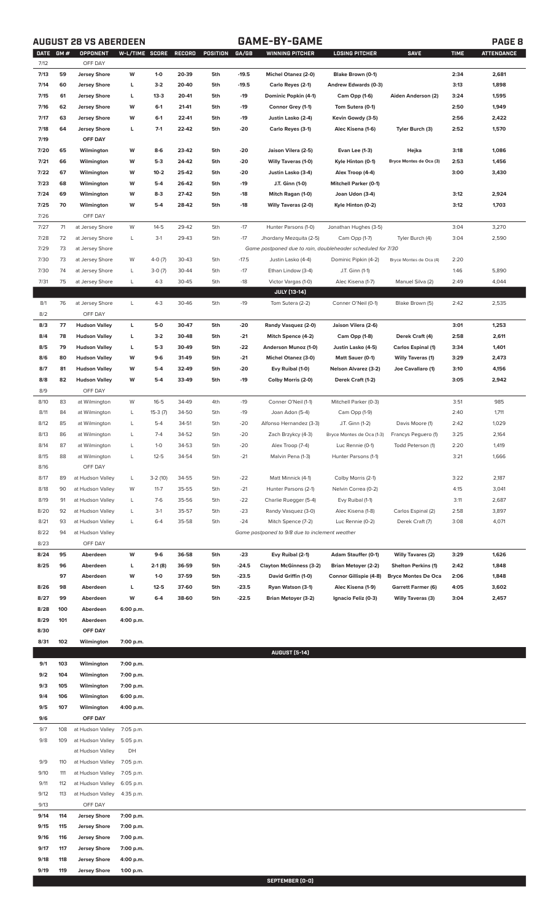# **AUGUST 28 VS ABERDEEN GAME-BY-GAME PAGE 8**

| <b>DATE</b> | GM# | <b>OPPONENT</b>                | W-L/TIME SCORE |           | <b>RECORD</b> | POSITION | GA/GB   | <b>WINNING PITCHER</b>                                      | <b>LOSING PITCHER</b>        | <b>SAVE</b>                | <b>TIME</b> | <b>ATTENDANCE</b> |
|-------------|-----|--------------------------------|----------------|-----------|---------------|----------|---------|-------------------------------------------------------------|------------------------------|----------------------------|-------------|-------------------|
| 7/12        |     | OFF DAY                        |                |           |               |          |         |                                                             |                              |                            |             |                   |
| 7/13        | 59  | <b>Jersey Shore</b>            | W              | $1-0$     | 20-39         | 5th      | $-19.5$ | Michel Otanez (2-0)                                         | Blake Brown (0-1)            |                            | 2:34        | 2,681             |
| 7/14        | 60  | <b>Jersey Shore</b>            | г              | $3-2$     | 20-40         | 5th      | $-19.5$ | Carlo Reyes (2-1)                                           | Andrew Edwards (0-3)         |                            | 3:13        | 1,898             |
| 7/15        | 61  | <b>Jersey Shore</b>            | г              | $13 - 3$  | 20-41         | 5th      | -19     | Dominic Popkin (4-1)                                        | Cam Opp (1-6)                | Aiden Anderson (2)         | 3:24        | 1,595             |
| 7/16        | 62  | <b>Jersey Shore</b>            | W              | $6 - 1$   | 21-41         | 5th      | -19     | Connor Grey (1-1)                                           | Tom Sutera (0-1)             |                            | 2:50        | 1,949             |
| 7/17        | 63  | <b>Jersey Shore</b>            | W              | $6-1$     | 22-41         | 5th      | -19     | Justin Lasko (2-4)                                          | Kevin Gowdy (3-5)            |                            | 2:56        | 2,422             |
| 7/18        | 64  | <b>Jersey Shore</b>            | г              | $7-1$     | 22-42         | 5th      | -20     | Carlo Reyes (3-1)                                           | Alec Kisena (1-6)            | Tyler Burch (3)            | 2:52        | 1,570             |
| 7/19        |     | OFF DAY                        |                |           |               |          |         |                                                             |                              |                            |             |                   |
| 7/20        | 65  | Wilmington                     | W              | 8-6       | 23-42         | 5th      | -20     | Jaison Vilera (2-5)                                         | Evan Lee (1-3)               | Hejka                      | 3:18        | 1,086             |
| 7/21        | 66  | Wilmington                     | W              | $5-3$     | 24-42         | 5th      | -20     | Willy Taveras (1-0)                                         | Kyle Hinton (0-1)            | Bryce Montes de Oca (3)    | 2:53        | 1,456             |
| 7/22        | 67  | Wilmington                     | W              | $10 - 2$  | 25-42         | 5th      | -20     | Justin Lasko (3-4)                                          | Alex Troop (4-4)             |                            | 3:00        | 3,430             |
| 7/23        | 68  | Wilmington                     | W              | $5-4$     | 26-42         | 5th      | -19     | J.T. Ginn (1-0)                                             | <b>Mitchell Parker (0-1)</b> |                            |             |                   |
| 7/24        | 69  | Wilmington                     | W              | $8-3$     | 27-42         | 5th      | -18     | Mitch Ragan (1-0)                                           | Joan Udon (3-4)              |                            | 3:12        | 2,924             |
| 7/25        | 70  | Wilmington                     | W              | $5-4$     | 28-42         | 5th      | -18     | Willy Taveras (2-0)                                         | Kyle Hinton (0-2)            |                            | 3:12        | 1,703             |
| 7/26        |     | OFF DAY                        |                |           |               |          |         |                                                             |                              |                            |             |                   |
| 7/27        | 71  | at Jersey Shore                | W              | $14 - 5$  | 29-42         | 5th      | $-17$   | Hunter Parsons (1-0)                                        | Jonathan Hughes (3-5)        |                            | 3:04        | 3,270             |
| 7/28        | 72  | at Jersey Shore                | L              | $3-1$     | 29-43         | 5th      | $-17$   | Jhordany Mezquita (2-5)                                     | Cam Opp (1-7)                | Tyler Burch (4)            | 3:04        | 2,590             |
| 7/29        | 73  | at Jersey Shore                |                |           |               |          |         | Game postponed due to rain, doubleheader scheduled for 7/30 |                              |                            |             |                   |
| 7/30        | 73  | at Jersey Shore                | W              | $4-0(7)$  | 30-43         | 5th      | $-17.5$ | Justin Lasko (4-4)                                          | Dominic Pipkin (4-2)         | Bryce Montes de Oca (4)    | 2:20        |                   |
| 7/30        | 74  | at Jersey Shore                | L              | $3-0(7)$  | 30-44         | 5th      | $-17$   | Ethan Lindow (3-4)                                          | J.T. Ginn (1-1)              |                            | 1:46        | 5,890             |
| 7/31        | 75  | at Jersey Shore                | L              | $4 - 3$   | 30-45         | 5th      | $-18$   | Victor Vargas (1-0)                                         | Alec Kisena (1-7)            | Manuel Silva (2)           | 2:49        | 4,044             |
|             |     |                                |                |           |               |          |         | <b>JULY [13-14]</b>                                         |                              |                            |             |                   |
| 8/1         | 76  | at Jersey Shore                | L              | $4 - 3$   | 30-46         | 5th      | $-19$   | Tom Sutera (2-2)                                            | Conner O'Neil (0-1)          | Blake Brown (5)            | 2:42        | 2,535             |
| 8/2         |     | OFF DAY                        |                |           |               |          |         |                                                             |                              |                            |             |                   |
| 8/3         | 77  | <b>Hudson Valley</b>           | г              | 5-0       | 30-47         | 5th      | -20     | Randy Vasquez (2-0)                                         | Jaison Vilera (2-6)          |                            | 3:01        | 1,253             |
| 8/4         | 78  | <b>Hudson Valley</b>           | г              | $3-2$     | 30-48         | 5th      | -21     | Mitch Spence (4-2)                                          | <b>Cam Opp (1-8)</b>         | Derek Craft (4)            | 2:58        | 2,611             |
| 8/5         | 79  | <b>Hudson Valley</b>           | г              | $5-3$     | 30-49         | 5th      | $-22$   | Anderson Munoz (1-0)                                        | Justin Lasko (4-5)           | Carlos Espinal (1)         | 3:34        | 1,401             |
| 8/6         | 80  | <b>Hudson Valley</b>           | W              | $9-6$     | 31-49         | 5th      | -21     | <b>Michel Otanez (3-0)</b>                                  | Matt Sauer (0-1)             | <b>Willy Taveras (1)</b>   | 3:29        | 2,473             |
| 8/7         | 81  | <b>Hudson Valley</b>           | W              | $5-4$     | 32-49         | 5th      | -20     | Evy Ruibal (1-0)                                            | <b>Nelson Alvarez (3-2)</b>  | Joe Cavallaro (1)          | 3:10        | 4,156             |
| 8/8         | 82  | <b>Hudson Valley</b>           | W              | $5-4$     | 33-49         | 5th      | $-19$   | Colby Morris (2-0)                                          | Derek Craft (1-2)            |                            | 3:05        | 2,942             |
| 8/9         |     | OFF DAY                        |                |           |               |          |         |                                                             |                              |                            |             |                   |
| 8/10        | 83  |                                | W              | $16 - 5$  | 34-49         | 4th      | $-19$   | Conner O'Neil (1-1)                                         | Mitchell Parker (0-3)        |                            | 3:51        | 985               |
| 8/11        | 84  | at Wilmington<br>at Wilmington |                | $15-3(7)$ | 34-50         | 5th      | $-19$   | Joan Adon (5-4)                                             |                              |                            | 2:40        | 1,711             |
|             |     |                                | L              |           |               |          |         |                                                             | Cam Opp (1-9)                |                            |             |                   |
| 8/12        | 85  | at Wilmington                  | L              | $5-4$     | 34-51         | 5th      | $-20$   | Alfonso Hernandez (3-3)                                     | J.T. Ginn (1-2)              | Davis Moore (1)            | 2:42        | 1,029             |
| 8/13        | 86  | at Wilmington                  | L              | $7 - 4$   | 34-52         | 5th      | $-20$   | Zach Brzykcy (4-3)                                          | Bryce Montes de Oca (1-3)    | Francys Peguero (1)        | 3:25        | 2,164             |
| 8/14        | 87  | at Wilmington                  | L              | $1 - 0$   | 34-53         | 5th      | $-20$   | Alex Troop (7-4)                                            | Luc Rennie (0-1)             | Todd Peterson (1)          | 2:20        | 1,419             |
| 8/15        | 88  | at Wilmington                  |                | $12 - 5$  | 34-54         | 5th      | $-21$   | Malvin Pena (1-3)                                           | Hunter Parsons (1-1)         |                            | 3:21        | 1,666             |
| 8/16        |     | OFF DAY                        |                |           |               |          |         |                                                             |                              |                            |             |                   |
| 8/17        | 89  | at Hudson Valley               | L              | $3-2(10)$ | 34-55         | 5th      | $-22$   | Matt Minnick (4-1)                                          | Colby Morris (2-1)           |                            | 3:22        | 2,187             |
| 8/18        | 90  | at Hudson Valley               | W              | $11 - 7$  | 35-55         | 5th      | $-21$   | Hunter Parsons (2-1)                                        | Nelvin Correa (0-2)          |                            | 4:15        | 3,041             |
| 8/19        | 91  | at Hudson Valley               | L              | $7-6$     | 35-56         | 5th      | $-22$   | Charlie Ruegger (5-4)                                       | Evy Ruibal (1-1)             |                            | 3:11        | 2,687             |
| 8/20        | 92  | at Hudson Valley               | L              | $3-1$     | 35-57         | 5th      | $-23$   | Randy Vasquez (3-0)                                         | Alec Kisena (1-8)            | Carlos Espinal (2)         | 2:58        | 3,897             |
| 8/21        | 93  | at Hudson Valley               | L              | $6 - 4$   | 35-58         | 5th      | $-24$   | Mitch Spence (7-2)                                          | Luc Rennie (0-2)             | Derek Craft (7)            | 3:08        | 4,071             |
| 8/22        | 94  | at Hudson Valley               |                |           |               |          |         | Game postponed to 9/8 due to inclement weather              |                              |                            |             |                   |
| 8/23        |     | OFF DAY                        |                |           |               |          |         |                                                             |                              |                            |             |                   |
| 8/24        | 95  | Aberdeen                       | W              | $9-6$     | 36-58         | 5th      | $-23$   | Evy Ruibal (2-1)                                            | Adam Stauffer (0-1)          | <b>Willy Tavares (2)</b>   | 3:29        | 1,626             |
| 8/25        | 96  | Aberdeen                       | г              | $2-1(8)$  | 36-59         | 5th      | $-24.5$ | <b>Clayton McGinness (3-2)</b>                              | Brian Metoyer (2-2)          | <b>Shelton Perkins (1)</b> | 2:42        | 1,848             |
|             | 97  | Aberdeen                       | W              | $1-0$     | 37-59         | 5th      | $-23.5$ | David Griffin (1-0)                                         | Connor Gillispie (4-8)       | <b>Bryce Montes De Oca</b> | 2:06        | 1,848             |
| 8/26        | 98  | Aberdeen                       | г              | $12 - 5$  | 37-60         | 5th      | $-23.5$ | Ryan Watson (3-1)                                           | Alec Kisena (1-9)            | Garrett Farmer (6)         | 4:05        | 3,602             |
| 8/27        | 99  | Aberdeen                       | W              | $6 - 4$   | 38-60         | 5th      | $-22.5$ | <b>Brian Metoyer (3-2)</b>                                  | Ignacio Feliz (0-3)          | <b>Willy Taveras (3)</b>   | 3:04        | 2,457             |
| 8/28        | 100 | Aberdeen                       | 6:00 p.m.      |           |               |          |         |                                                             |                              |                            |             |                   |
| 8/29        | 101 | Aberdeen                       | 4:00 p.m.      |           |               |          |         |                                                             |                              |                            |             |                   |
| 8/30        |     | OFF DAY                        |                |           |               |          |         |                                                             |                              |                            |             |                   |
| 8/31        | 102 | Wilmington                     | 7:00 p.m.      |           |               |          |         |                                                             |                              |                            |             |                   |
|             |     |                                |                |           |               |          |         | <b>AUGUST [5-14]</b>                                        |                              |                            |             |                   |
| 9/1         | 103 | Wilmington                     | 7:00 p.m.      |           |               |          |         |                                                             |                              |                            |             |                   |
| 9/2         | 104 | Wilmington                     | 7:00 p.m.      |           |               |          |         |                                                             |                              |                            |             |                   |
| 9/3         | 105 | Wilmington                     | 7:00 p.m.      |           |               |          |         |                                                             |                              |                            |             |                   |
| 9/4         | 106 | Wilmington                     | 6:00 p.m.      |           |               |          |         |                                                             |                              |                            |             |                   |
| 9/5         | 107 | Wilmington                     | 4:00 p.m.      |           |               |          |         |                                                             |                              |                            |             |                   |
| 9/6         |     | OFF DAY                        |                |           |               |          |         |                                                             |                              |                            |             |                   |
| 9/7         | 108 | at Hudson Valley               | 7:05 p.m.      |           |               |          |         |                                                             |                              |                            |             |                   |
| 9/8         | 109 | at Hudson Valley               | 5:05 p.m.      |           |               |          |         |                                                             |                              |                            |             |                   |
|             |     | at Hudson Valley               | DH             |           |               |          |         |                                                             |                              |                            |             |                   |
|             |     |                                |                |           |               |          |         |                                                             |                              |                            |             |                   |
| 9/9         | 110 | at Hudson Valley               | 7:05 p.m.      |           |               |          |         |                                                             |                              |                            |             |                   |
| 9/10        | 111 | at Hudson Valley               | 7:05 p.m.      |           |               |          |         |                                                             |                              |                            |             |                   |
| 9/11        | 112 | at Hudson Valley               | 6:05 p.m.      |           |               |          |         |                                                             |                              |                            |             |                   |
| 9/12        | 113 | at Hudson Valley               | 4:35 p.m.      |           |               |          |         |                                                             |                              |                            |             |                   |
| 9/13        |     | OFF DAY                        |                |           |               |          |         |                                                             |                              |                            |             |                   |
| 9/14        | 114 | <b>Jersey Shore</b>            | 7:00 p.m.      |           |               |          |         |                                                             |                              |                            |             |                   |
| 9/15        | 115 | <b>Jersey Shore</b>            | 7:00 p.m.      |           |               |          |         |                                                             |                              |                            |             |                   |
| 9/16        | 116 | <b>Jersey Shore</b>            | 7:00 p.m.      |           |               |          |         |                                                             |                              |                            |             |                   |
| 9/17        | 117 | <b>Jersey Shore</b>            | 7:00 p.m.      |           |               |          |         |                                                             |                              |                            |             |                   |
| 9/18        | 118 | <b>Jersey Shore</b>            | 4:00 p.m.      |           |               |          |         |                                                             |                              |                            |             |                   |
| 9/19        | 119 | <b>Jersey Shore</b>            | 1:00 p.m.      |           |               |          |         |                                                             |                              |                            |             |                   |